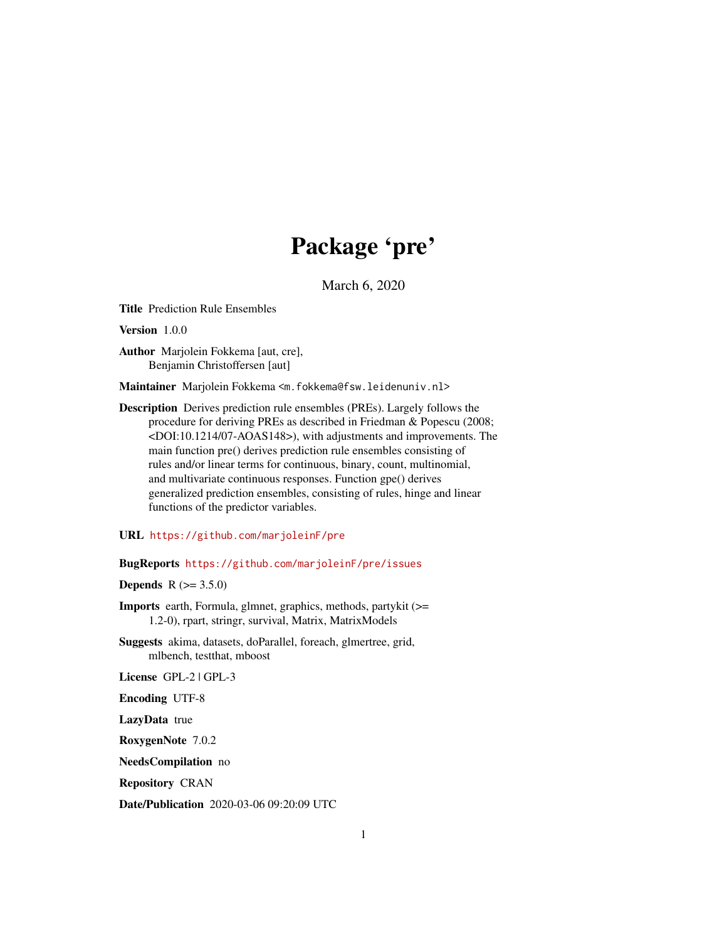# Package 'pre'

March 6, 2020

<span id="page-0-0"></span>Title Prediction Rule Ensembles

Version 1.0.0

Author Marjolein Fokkema [aut, cre], Benjamin Christoffersen [aut]

Maintainer Marjolein Fokkema <m.fokkema@fsw.leidenuniv.nl>

Description Derives prediction rule ensembles (PREs). Largely follows the procedure for deriving PREs as described in Friedman & Popescu (2008; <DOI:10.1214/07-AOAS148>), with adjustments and improvements. The main function pre() derives prediction rule ensembles consisting of rules and/or linear terms for continuous, binary, count, multinomial, and multivariate continuous responses. Function gpe() derives generalized prediction ensembles, consisting of rules, hinge and linear functions of the predictor variables.

URL <https://github.com/marjoleinF/pre>

BugReports <https://github.com/marjoleinF/pre/issues>

**Depends** R  $(>= 3.5.0)$ 

Imports earth, Formula, glmnet, graphics, methods, partykit (>= 1.2-0), rpart, stringr, survival, Matrix, MatrixModels

Suggests akima, datasets, doParallel, foreach, glmertree, grid, mlbench, testthat, mboost

License GPL-2 | GPL-3

Encoding UTF-8

LazyData true

RoxygenNote 7.0.2

NeedsCompilation no

Repository CRAN

Date/Publication 2020-03-06 09:20:09 UTC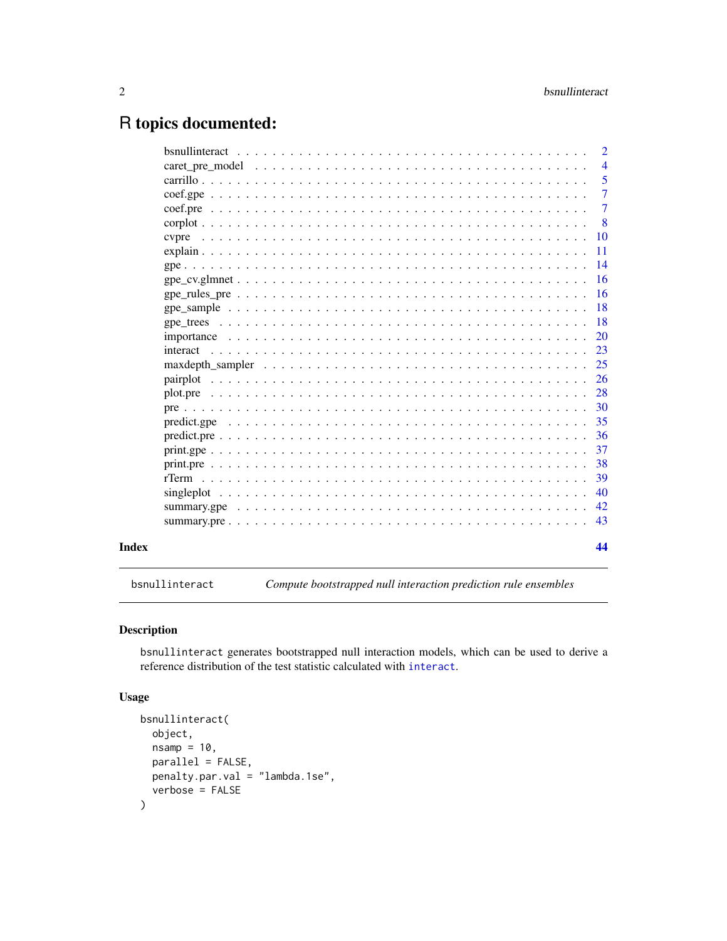# <span id="page-1-0"></span>R topics documented:

| $\overline{4}$<br>-5<br>$\overline{7}$<br>$\overline{7}$<br>-8<br>$\overline{10}$<br>cypre<br>11<br>-16<br>23<br>35<br>36<br>37<br>38<br>-39<br>40<br>42<br>43<br>44 |  | $\overline{2}$ |
|----------------------------------------------------------------------------------------------------------------------------------------------------------------------|--|----------------|
|                                                                                                                                                                      |  |                |
|                                                                                                                                                                      |  |                |
|                                                                                                                                                                      |  |                |
|                                                                                                                                                                      |  |                |
|                                                                                                                                                                      |  |                |
|                                                                                                                                                                      |  |                |
|                                                                                                                                                                      |  |                |
|                                                                                                                                                                      |  |                |
|                                                                                                                                                                      |  |                |
|                                                                                                                                                                      |  |                |
|                                                                                                                                                                      |  |                |
|                                                                                                                                                                      |  |                |
|                                                                                                                                                                      |  |                |
|                                                                                                                                                                      |  |                |
|                                                                                                                                                                      |  |                |
|                                                                                                                                                                      |  |                |
|                                                                                                                                                                      |  |                |
|                                                                                                                                                                      |  |                |
|                                                                                                                                                                      |  |                |
|                                                                                                                                                                      |  |                |
|                                                                                                                                                                      |  |                |
|                                                                                                                                                                      |  |                |
|                                                                                                                                                                      |  |                |
|                                                                                                                                                                      |  |                |
|                                                                                                                                                                      |  |                |
|                                                                                                                                                                      |  |                |
|                                                                                                                                                                      |  |                |

<span id="page-1-1"></span>bsnullinteract *Compute bootstrapped null interaction prediction rule ensembles*

# Description

bsnullinteract generates bootstrapped null interaction models, which can be used to derive a reference distribution of the test statistic calculated with [interact](#page-22-1).

# Usage

```
bsnullinteract(
 object,
 nsamp = 10,parallel = FALSE,
 penalty.par.val = "lambda.1se",
  verbose = FALSE
\mathcal{L}
```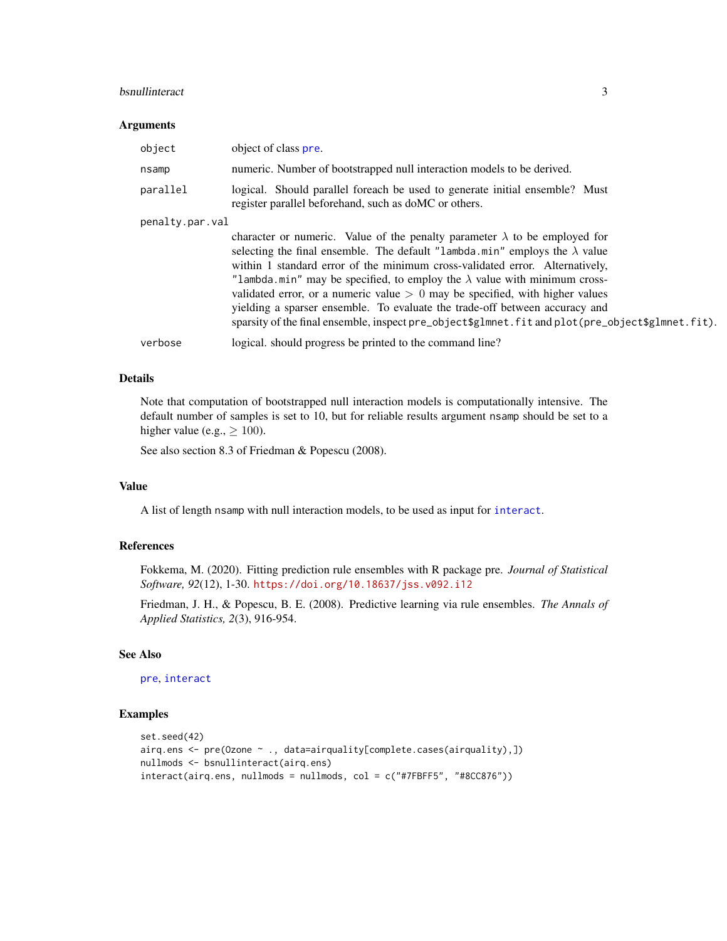#### <span id="page-2-0"></span>bsnullinteract 3

#### Arguments

| object          | object of class pre.                                                                                                                                                                                                                                                                                                                                                                                                                                                                                                                                                                                             |
|-----------------|------------------------------------------------------------------------------------------------------------------------------------------------------------------------------------------------------------------------------------------------------------------------------------------------------------------------------------------------------------------------------------------------------------------------------------------------------------------------------------------------------------------------------------------------------------------------------------------------------------------|
| nsamp           | numeric. Number of bootstrapped null interaction models to be derived.                                                                                                                                                                                                                                                                                                                                                                                                                                                                                                                                           |
| parallel        | logical. Should parallel foreach be used to generate initial ensemble? Must<br>register parallel beforehand, such as doMC or others.                                                                                                                                                                                                                                                                                                                                                                                                                                                                             |
| penalty.par.val |                                                                                                                                                                                                                                                                                                                                                                                                                                                                                                                                                                                                                  |
|                 | character or numeric. Value of the penalty parameter $\lambda$ to be employed for<br>selecting the final ensemble. The default "lambda.min" employs the $\lambda$ value<br>within 1 standard error of the minimum cross-validated error. Alternatively,<br>"lambda.min" may be specified, to employ the $\lambda$ value with minimum cross-<br>validated error, or a numeric value $> 0$ may be specified, with higher values<br>yielding a sparser ensemble. To evaluate the trade-off between accuracy and<br>sparsity of the final ensemble, inspect pre_object\$glmnet.fit and plot(pre_object\$glmnet.fit). |
| verbose         | logical. should progress be printed to the command line?                                                                                                                                                                                                                                                                                                                                                                                                                                                                                                                                                         |

# Details

Note that computation of bootstrapped null interaction models is computationally intensive. The default number of samples is set to 10, but for reliable results argument nsamp should be set to a higher value (e.g.,  $\geq 100$ ).

See also section 8.3 of Friedman & Popescu (2008).

#### Value

A list of length nsamp with null interaction models, to be used as input for [interact](#page-22-1).

#### References

Fokkema, M. (2020). Fitting prediction rule ensembles with R package pre. *Journal of Statistical Software, 92*(12), 1-30. <https://doi.org/10.18637/jss.v092.i12>

Friedman, J. H., & Popescu, B. E. (2008). Predictive learning via rule ensembles. *The Annals of Applied Statistics, 2*(3), 916-954.

## See Also

[pre](#page-29-1), [interact](#page-22-1)

```
set.seed(42)
airq.ens \leq pre(Ozone \leq., data=airquality[complete.cases(airquality),])
nullmods <- bsnullinteract(airq.ens)
interact(airq.ens, nullmods = nullmods, col = c("#7FBFF5", "#8CC876"))
```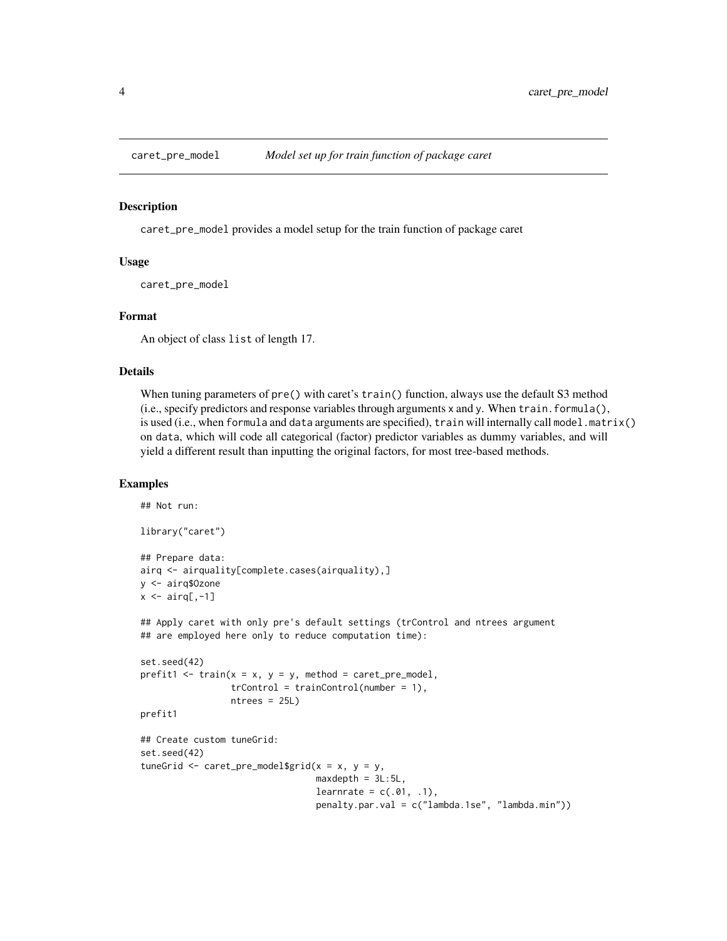<span id="page-3-0"></span>

caret\_pre\_model provides a model setup for the train function of package caret

# Usage

caret\_pre\_model

#### Format

An object of class list of length 17.

# Details

When tuning parameters of pre() with caret's train() function, always use the default S3 method (i.e., specify predictors and response variables through arguments x and y. When train.formula(), is used (i.e., when formula and data arguments are specified), train will internally call model.matrix() on data, which will code all categorical (factor) predictor variables as dummy variables, and will yield a different result than inputting the original factors, for most tree-based methods.

# Examples

## Not run:

```
library("caret")
## Prepare data:
airq <- airquality[complete.cases(airquality),]
y <- airq$Ozone
x \leftarrow \text{airq}[, -1]## Apply caret with only pre's default settings (trControl and ntrees argument
## are employed here only to reduce computation time):
set.seed(42)
prefit1 \le train(x = x, y = y, method = caret_pre_model,
                 trControl = trainControl(number = 1),
                 ntrees = 25L)
prefit1
## Create custom tuneGrid:
set.seed(42)
tuneGrid \leq caret_pre_model$grid(x = x, y = y,
                                  maxdepth = 3L:5L,learnrate = c(.01, .1),
                                  penalty.par.val = c("lambda.1se", "lambda.min"))
```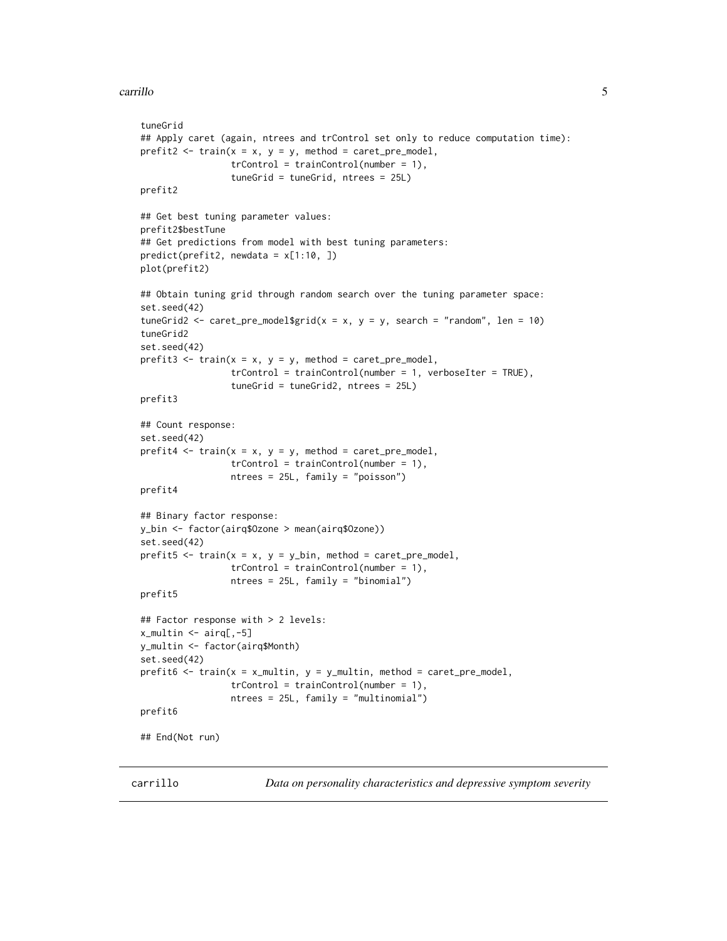#### <span id="page-4-0"></span>carrillo 5

```
tuneGrid
## Apply caret (again, ntrees and trControl set only to reduce computation time):
prefit2 \le train(x = x, y = y, method = caret_pre_model,
                 trControl = trainControl(number = 1),
                 tuneGrid = tuneGrid, ntrees = 25L)
prefit2
## Get best tuning parameter values:
prefit2$bestTune
## Get predictions from model with best tuning parameters:
predict(prefit2, newdata = x[1:10, ])
plot(prefit2)
## Obtain tuning grid through random search over the tuning parameter space:
set.seed(42)
tuneGrid2 <- caret_pre_model$grid(x = x, y = y, search = "random", len = 10)
tuneGrid2
set.seed(42)
prefit3 \le train(x = x, y = y, method = caret_pre_model,
                 trControl = trainControl(number = 1, verboseIter = TRUE),
                 tuneGrid = tuneGrid2, ntrees = 25L)
prefit3
## Count response:
set.seed(42)
prefit4 \le train(x = x, y = y, method = caret_pre_model,
                 trControl = trainControl(number = 1),
                 ntrees = 25L, family = "poisson")
prefit4
## Binary factor response:
y_bin <- factor(airq$Ozone > mean(airq$Ozone))
set.seed(42)
prefix5 < - train(x = x, y = y\_bin, method = caret\_pre\_model,trControl = trainControl(number = 1),
                 ntrees = 25L, family = "binomial")
prefit5
## Factor response with > 2 levels:
x_multin <- airq[,-5]
y_multin <- factor(airq$Month)
set.seed(42)
prefix 6 < - train(x = x_{multin}, y = y_{multin}, \text{ method} = \text{caretype}_{model},trControl = trainControl(number = 1),
                 ntrees = 25L, family = "multinomial")
prefit6
## End(Not run)
```
carrillo *Data on personality characteristics and depressive symptom severity*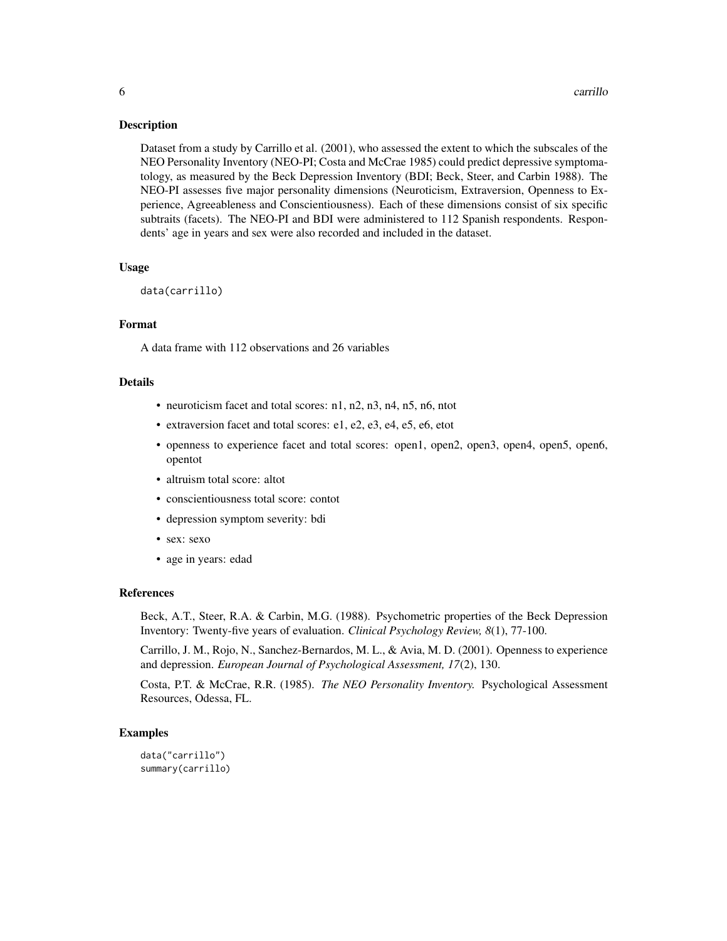Dataset from a study by Carrillo et al. (2001), who assessed the extent to which the subscales of the NEO Personality Inventory (NEO-PI; Costa and McCrae 1985) could predict depressive symptomatology, as measured by the Beck Depression Inventory (BDI; Beck, Steer, and Carbin 1988). The NEO-PI assesses five major personality dimensions (Neuroticism, Extraversion, Openness to Experience, Agreeableness and Conscientiousness). Each of these dimensions consist of six specific subtraits (facets). The NEO-PI and BDI were administered to 112 Spanish respondents. Respondents' age in years and sex were also recorded and included in the dataset.

# Usage

```
data(carrillo)
```
#### Format

A data frame with 112 observations and 26 variables

#### Details

- neuroticism facet and total scores: n1, n2, n3, n4, n5, n6, ntot
- extraversion facet and total scores: e1, e2, e3, e4, e5, e6, etot
- openness to experience facet and total scores: open1, open2, open3, open4, open5, open6, opentot
- altruism total score: altot
- conscientiousness total score: contot
- depression symptom severity: bdi
- sex: sexo
- age in years: edad

#### References

Beck, A.T., Steer, R.A. & Carbin, M.G. (1988). Psychometric properties of the Beck Depression Inventory: Twenty-five years of evaluation. *Clinical Psychology Review, 8*(1), 77-100.

Carrillo, J. M., Rojo, N., Sanchez-Bernardos, M. L., & Avia, M. D. (2001). Openness to experience and depression. *European Journal of Psychological Assessment, 17*(2), 130.

Costa, P.T. & McCrae, R.R. (1985). *The NEO Personality Inventory.* Psychological Assessment Resources, Odessa, FL.

```
data("carrillo")
summary(carrillo)
```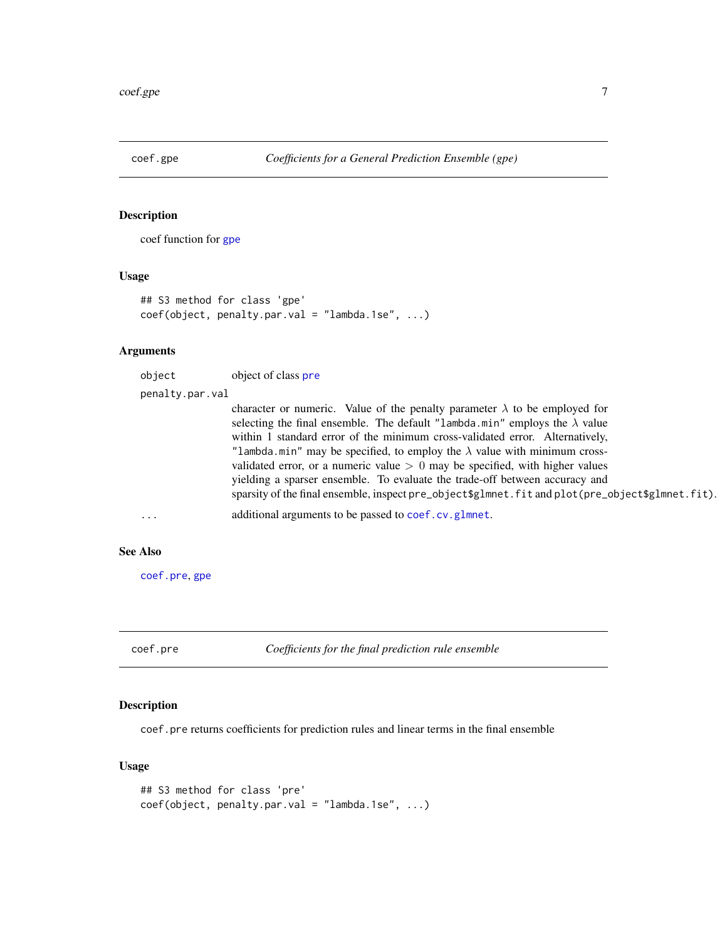<span id="page-6-2"></span><span id="page-6-0"></span>

coef function for [gpe](#page-13-1)

#### Usage

```
## S3 method for class 'gpe'
coef(object, penalty.par.val = "lambda.1se", ...)
```
#### Arguments

object object of class [pre](#page-29-1) penalty.par.val

> character or numeric. Value of the penalty parameter  $\lambda$  to be employed for selecting the final ensemble. The default "lambda.min" employs the  $\lambda$  value within 1 standard error of the minimum cross-validated error. Alternatively, "lambda.min" may be specified, to employ the  $\lambda$  value with minimum crossvalidated error, or a numeric value  $> 0$  may be specified, with higher values yielding a sparser ensemble. To evaluate the trade-off between accuracy and sparsity of the final ensemble, inspect pre\_object\$glmnet.fit and plot(pre\_object\$glmnet.fit).

```
... additional arguments to be passed to coef.cv.glmnet.
```
#### See Also

[coef.pre](#page-6-1), [gpe](#page-13-1)

<span id="page-6-1"></span>coef.pre *Coefficients for the final prediction rule ensemble*

#### Description

coef.pre returns coefficients for prediction rules and linear terms in the final ensemble

#### Usage

```
## S3 method for class 'pre'
coef(object, penalty.par.val = "lambda.1se", ...)
```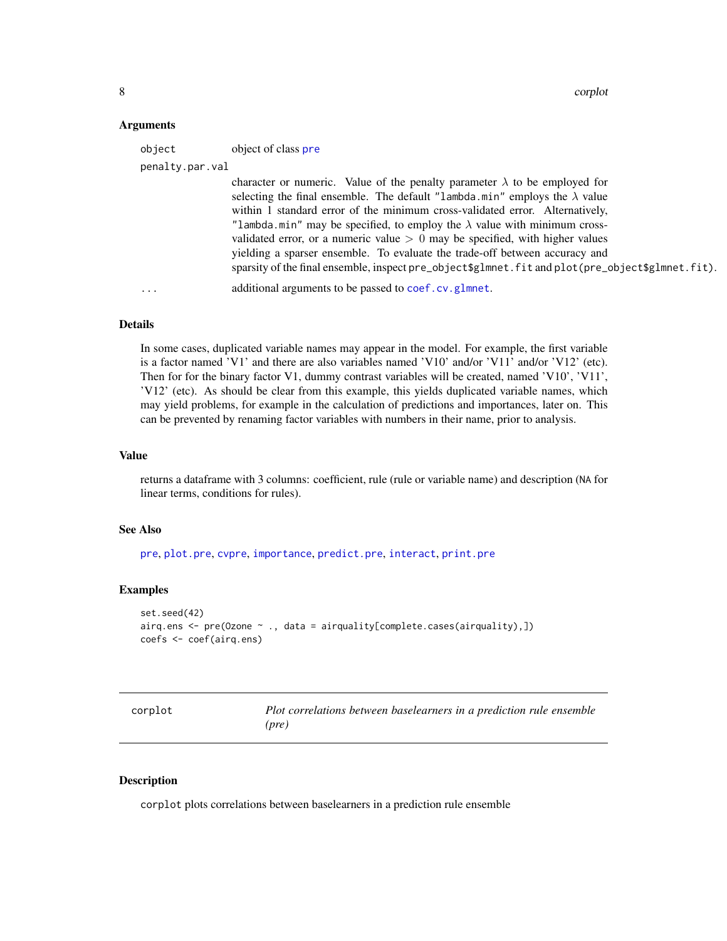#### <span id="page-7-0"></span>Arguments

| object          | object of class pre                                                                                                                                                                                                                                                                                                                                                                                                           |
|-----------------|-------------------------------------------------------------------------------------------------------------------------------------------------------------------------------------------------------------------------------------------------------------------------------------------------------------------------------------------------------------------------------------------------------------------------------|
| penalty.par.val |                                                                                                                                                                                                                                                                                                                                                                                                                               |
|                 | character or numeric. Value of the penalty parameter $\lambda$ to be employed for<br>selecting the final ensemble. The default "lambda.min" employs the $\lambda$ value<br>within 1 standard error of the minimum cross-validated error. Alternatively,<br>"lambda.min" may be specified, to employ the $\lambda$ value with minimum cross-<br>validated error, or a numeric value $> 0$ may be specified, with higher values |
|                 | yielding a sparser ensemble. To evaluate the trade-off between accuracy and<br>sparsity of the final ensemble, inspect pre_object\$g1mnet.fit and plot(pre_object\$g1mnet.fit).                                                                                                                                                                                                                                               |
| $\cdot$         | additional arguments to be passed to coef.cv.glmnet.                                                                                                                                                                                                                                                                                                                                                                          |

# Details

In some cases, duplicated variable names may appear in the model. For example, the first variable is a factor named 'V1' and there are also variables named 'V10' and/or 'V11' and/or 'V12' (etc). Then for for the binary factor V1, dummy contrast variables will be created, named 'V10', 'V11', 'V12' (etc). As should be clear from this example, this yields duplicated variable names, which may yield problems, for example in the calculation of predictions and importances, later on. This can be prevented by renaming factor variables with numbers in their name, prior to analysis.

#### Value

returns a dataframe with 3 columns: coefficient, rule (rule or variable name) and description (NA for linear terms, conditions for rules).

#### See Also

[pre](#page-29-1), [plot.pre](#page-27-1), [cvpre](#page-9-1), [importance](#page-19-1), [predict.pre](#page-35-1), [interact](#page-22-1), [print.pre](#page-37-1)

#### Examples

```
set.seed(42)
airq.ens <- pre(Ozone ~ ., data = airquality[complete.cases(airquality),])
coefs <- coef(airq.ens)
```

| corplot | Plot correlations between baselearners in a prediction rule ensemble |
|---------|----------------------------------------------------------------------|
|         | (pre)                                                                |

#### Description

corplot plots correlations between baselearners in a prediction rule ensemble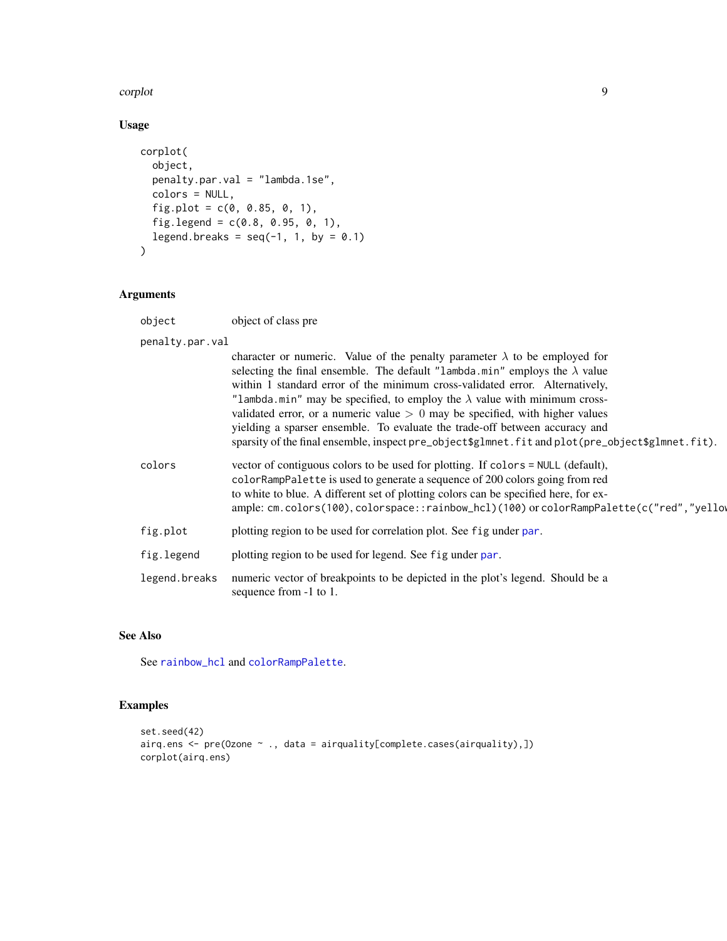#### <span id="page-8-0"></span>corplot that the control of the control of the control of the control of the control of the control of the control of the control of the control of the control of the control of the control of the control of the control of

# Usage

```
corplot(
  object,
  penalty.par.val = "lambda.1se",
  colors = NULL,
  fig.plot = c(0, 0.85, 0, 1),
  fig.legend = c(0.8, 0.95, 0, 1),
  legend.breaks = seq(-1, 1, by = 0.1)\mathcal{L}
```
# Arguments

object object of class pre

| penalty.par.val |                                                                                                                                                                                                                                                                                                                                                                                                                                                                                                                                                                                                                  |
|-----------------|------------------------------------------------------------------------------------------------------------------------------------------------------------------------------------------------------------------------------------------------------------------------------------------------------------------------------------------------------------------------------------------------------------------------------------------------------------------------------------------------------------------------------------------------------------------------------------------------------------------|
|                 | character or numeric. Value of the penalty parameter $\lambda$ to be employed for<br>selecting the final ensemble. The default "lambda.min" employs the $\lambda$ value<br>within 1 standard error of the minimum cross-validated error. Alternatively,<br>"lambda.min" may be specified, to employ the $\lambda$ value with minimum cross-<br>validated error, or a numeric value $> 0$ may be specified, with higher values<br>yielding a sparser ensemble. To evaluate the trade-off between accuracy and<br>sparsity of the final ensemble, inspect pre_object\$glmnet.fit and plot(pre_object\$glmnet.fit). |
| colors          | vector of contiguous colors to be used for plotting. If colors = NULL (default),<br>colorRampPalette is used to generate a sequence of 200 colors going from red<br>to white to blue. A different set of plotting colors can be specified here, for ex-<br>ample: cm.colors(100), colorspace::rainbow_hcl)(100) or colorRampPalette(c("red","yellow                                                                                                                                                                                                                                                              |
| fig.plot        | plotting region to be used for correlation plot. See fig under par.                                                                                                                                                                                                                                                                                                                                                                                                                                                                                                                                              |
| fig.legend      | plotting region to be used for legend. See fig under par.                                                                                                                                                                                                                                                                                                                                                                                                                                                                                                                                                        |
| legend.breaks   | numeric vector of breakpoints to be depicted in the plot's legend. Should be a<br>sequence from -1 to 1.                                                                                                                                                                                                                                                                                                                                                                                                                                                                                                         |

# See Also

See [rainbow\\_hcl](#page-0-0) and [colorRampPalette](#page-0-0).

```
set.seed(42)
airq.ens <- pre(Ozone ~ ., data = airquality[complete.cases(airquality),])
corplot(airq.ens)
```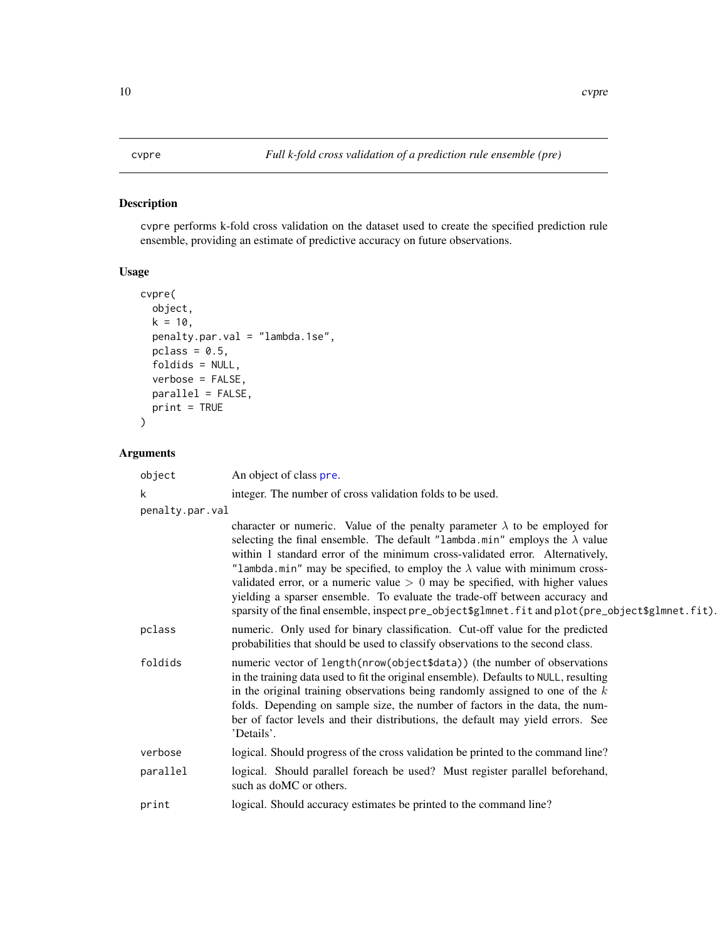<span id="page-9-1"></span><span id="page-9-0"></span>cvpre performs k-fold cross validation on the dataset used to create the specified prediction rule ensemble, providing an estimate of predictive accuracy on future observations.

# Usage

```
cvpre(
 object,
 k = 10,
 penalty.par.val = "lambda.1se",
 pclass = 0.5,
  foldids = NULL,
 verbose = FALSE,
 parallel = FALSE,
 print = TRUE
)
```

| object          | An object of class pre.                                                                                                                                                                                                                                                                                                                                                                                                                                                                                                                                                                                          |
|-----------------|------------------------------------------------------------------------------------------------------------------------------------------------------------------------------------------------------------------------------------------------------------------------------------------------------------------------------------------------------------------------------------------------------------------------------------------------------------------------------------------------------------------------------------------------------------------------------------------------------------------|
| k               | integer. The number of cross validation folds to be used.                                                                                                                                                                                                                                                                                                                                                                                                                                                                                                                                                        |
| penalty.par.val |                                                                                                                                                                                                                                                                                                                                                                                                                                                                                                                                                                                                                  |
|                 | character or numeric. Value of the penalty parameter $\lambda$ to be employed for<br>selecting the final ensemble. The default "lambda.min" employs the $\lambda$ value<br>within 1 standard error of the minimum cross-validated error. Alternatively,<br>"lambda.min" may be specified, to employ the $\lambda$ value with minimum cross-<br>validated error, or a numeric value $> 0$ may be specified, with higher values<br>yielding a sparser ensemble. To evaluate the trade-off between accuracy and<br>sparsity of the final ensemble, inspect pre_object\$glmnet.fit and plot(pre_object\$glmnet.fit). |
| pclass          | numeric. Only used for binary classification. Cut-off value for the predicted<br>probabilities that should be used to classify observations to the second class.                                                                                                                                                                                                                                                                                                                                                                                                                                                 |
| foldids         | numeric vector of length(nrow(object\$data)) (the number of observations<br>in the training data used to fit the original ensemble). Defaults to NULL, resulting<br>in the original training observations being randomly assigned to one of the $k$<br>folds. Depending on sample size, the number of factors in the data, the num-<br>ber of factor levels and their distributions, the default may yield errors. See<br>'Details'.                                                                                                                                                                             |
| verbose         | logical. Should progress of the cross validation be printed to the command line?                                                                                                                                                                                                                                                                                                                                                                                                                                                                                                                                 |
| parallel        | logical. Should parallel foreach be used? Must register parallel beforehand,<br>such as doMC or others.                                                                                                                                                                                                                                                                                                                                                                                                                                                                                                          |
| print           | logical. Should accuracy estimates be printed to the command line?                                                                                                                                                                                                                                                                                                                                                                                                                                                                                                                                               |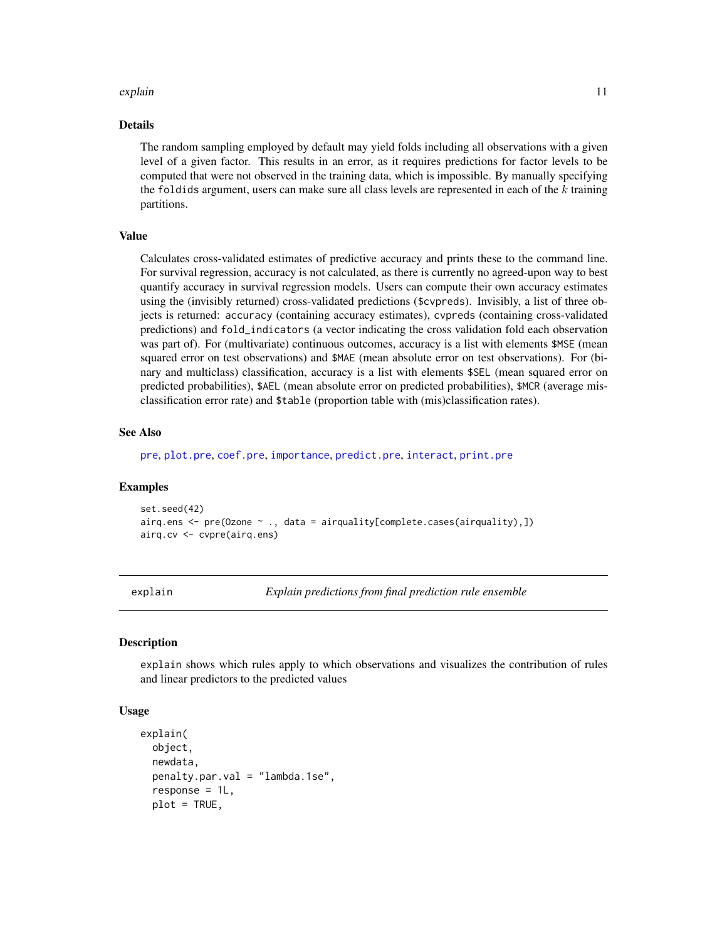#### <span id="page-10-0"></span>explain the contract of the contract of the contract of the contract of the contract of the contract of the contract of the contract of the contract of the contract of the contract of the contract of the contract of the co

#### Details

The random sampling employed by default may yield folds including all observations with a given level of a given factor. This results in an error, as it requires predictions for factor levels to be computed that were not observed in the training data, which is impossible. By manually specifying the foldids argument, users can make sure all class levels are represented in each of the  $k$  training partitions.

# Value

Calculates cross-validated estimates of predictive accuracy and prints these to the command line. For survival regression, accuracy is not calculated, as there is currently no agreed-upon way to best quantify accuracy in survival regression models. Users can compute their own accuracy estimates using the (invisibly returned) cross-validated predictions (\$cvpreds). Invisibly, a list of three objects is returned: accuracy (containing accuracy estimates), cvpreds (containing cross-validated predictions) and fold\_indicators (a vector indicating the cross validation fold each observation was part of). For (multivariate) continuous outcomes, accuracy is a list with elements \$MSE (mean squared error on test observations) and \$MAE (mean absolute error on test observations). For (binary and multiclass) classification, accuracy is a list with elements \$SEL (mean squared error on predicted probabilities), \$AEL (mean absolute error on predicted probabilities), \$MCR (average misclassification error rate) and \$table (proportion table with (mis)classification rates).

#### See Also

[pre](#page-29-1), [plot.pre](#page-27-1), [coef.pre](#page-6-1), [importance](#page-19-1), [predict.pre](#page-35-1), [interact](#page-22-1), [print.pre](#page-37-1)

#### Examples

```
set.seed(42)
airq.ens <- pre(Ozone ~ ., data = airquality[complete.cases(airquality),])
airq.cv <- cvpre(airq.ens)
```
explain *Explain predictions from final prediction rule ensemble*

#### **Description**

explain shows which rules apply to which observations and visualizes the contribution of rules and linear predictors to the predicted values

### Usage

```
explain(
  object,
  newdata,
  penalty.par.val = "lambda.1se",
  response = 1L,
  plot = TRUE,
```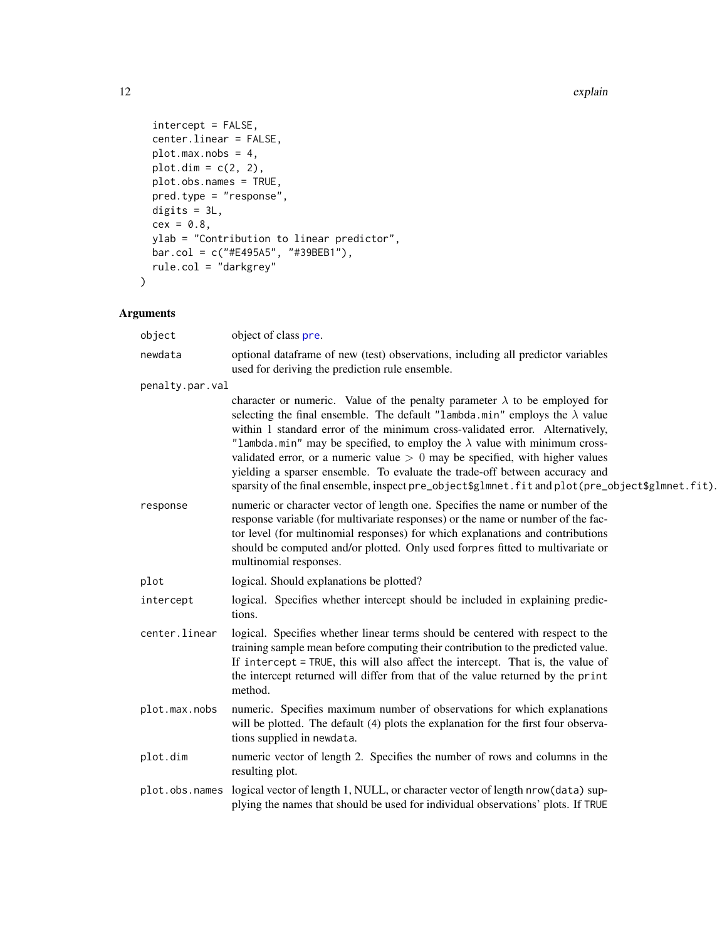```
intercept = FALSE,center.linear = FALSE,
 plot.max.nobs = 4,
 plot.dim = c(2, 2),
 plot.obs.names = TRUE,
 pred.type = "response",
 digits = 3L,
 cex = 0.8,
 ylab = "Contribution to linear predictor",
 bar.col = c("#E495A5", "#39BEB1"),
 rule.col = "darkgrey"
\mathcal{L}
```

| object          | object of class pre.                                                                                                                                                                                                                                                                                                                                                                                                                                                                                                                                                                                             |
|-----------------|------------------------------------------------------------------------------------------------------------------------------------------------------------------------------------------------------------------------------------------------------------------------------------------------------------------------------------------------------------------------------------------------------------------------------------------------------------------------------------------------------------------------------------------------------------------------------------------------------------------|
| newdata         | optional dataframe of new (test) observations, including all predictor variables<br>used for deriving the prediction rule ensemble.                                                                                                                                                                                                                                                                                                                                                                                                                                                                              |
| penalty.par.val |                                                                                                                                                                                                                                                                                                                                                                                                                                                                                                                                                                                                                  |
|                 | character or numeric. Value of the penalty parameter $\lambda$ to be employed for<br>selecting the final ensemble. The default "lambda.min" employs the $\lambda$ value<br>within 1 standard error of the minimum cross-validated error. Alternatively,<br>"lambda.min" may be specified, to employ the $\lambda$ value with minimum cross-<br>validated error, or a numeric value $> 0$ may be specified, with higher values<br>yielding a sparser ensemble. To evaluate the trade-off between accuracy and<br>sparsity of the final ensemble, inspect pre_object\$glmnet.fit and plot(pre_object\$glmnet.fit). |
| response        | numeric or character vector of length one. Specifies the name or number of the<br>response variable (for multivariate responses) or the name or number of the fac-<br>tor level (for multinomial responses) for which explanations and contributions<br>should be computed and/or plotted. Only used forpres fitted to multivariate or<br>multinomial responses.                                                                                                                                                                                                                                                 |
| plot            | logical. Should explanations be plotted?                                                                                                                                                                                                                                                                                                                                                                                                                                                                                                                                                                         |
| intercept       | logical. Specifies whether intercept should be included in explaining predic-<br>tions.                                                                                                                                                                                                                                                                                                                                                                                                                                                                                                                          |
| center.linear   | logical. Specifies whether linear terms should be centered with respect to the<br>training sample mean before computing their contribution to the predicted value.<br>If intercept = TRUE, this will also affect the intercept. That is, the value of<br>the intercept returned will differ from that of the value returned by the print<br>method.                                                                                                                                                                                                                                                              |
| plot.max.nobs   | numeric. Specifies maximum number of observations for which explanations<br>will be plotted. The default (4) plots the explanation for the first four observa-<br>tions supplied in newdata.                                                                                                                                                                                                                                                                                                                                                                                                                     |
| plot.dim        | numeric vector of length 2. Specifies the number of rows and columns in the<br>resulting plot.                                                                                                                                                                                                                                                                                                                                                                                                                                                                                                                   |
|                 | plot.obs.names logical vector of length 1, NULL, or character vector of length nrow(data) sup-<br>plying the names that should be used for individual observations' plots. If TRUE                                                                                                                                                                                                                                                                                                                                                                                                                               |
|                 |                                                                                                                                                                                                                                                                                                                                                                                                                                                                                                                                                                                                                  |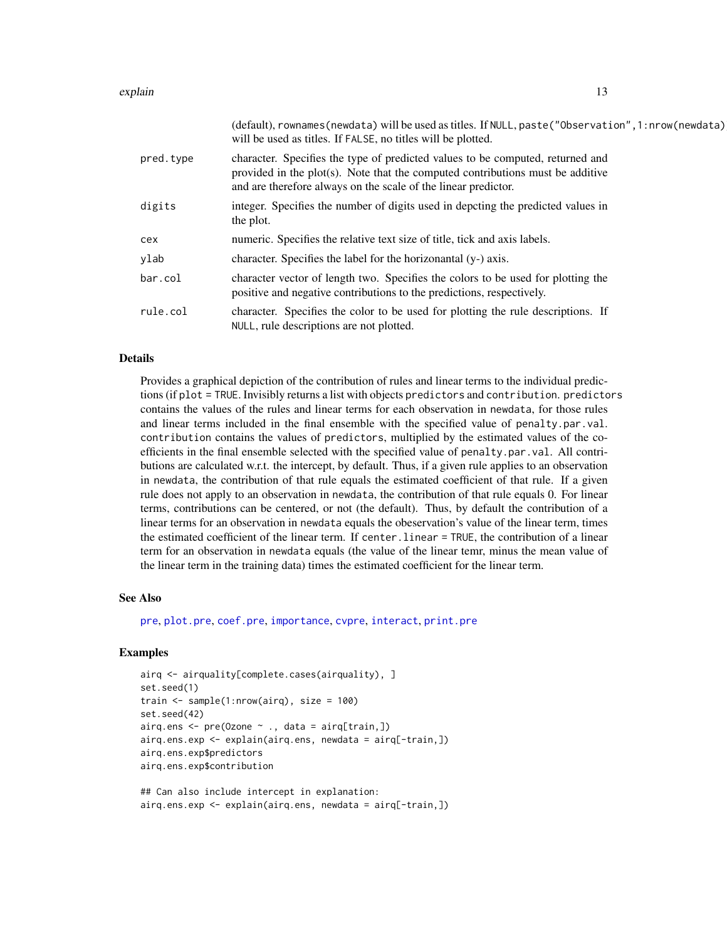#### <span id="page-12-0"></span>explain that the contract of the contract of the contract of the contract of the contract of the contract of the contract of the contract of the contract of the contract of the contract of the contract of the contract of t

|           | (default), rownames (newdata) will be used as titles. If NULL, paste ("Observation", 1: nrow (newdata)<br>will be used as titles. If FALSE, no titles will be plotted.                                                             |
|-----------|------------------------------------------------------------------------------------------------------------------------------------------------------------------------------------------------------------------------------------|
| pred.type | character. Specifies the type of predicted values to be computed, returned and<br>provided in the plot(s). Note that the computed contributions must be additive<br>and are therefore always on the scale of the linear predictor. |
| digits    | integer. Specifies the number of digits used in depcting the predicted values in<br>the plot.                                                                                                                                      |
| cex       | numeric. Specifies the relative text size of title, tick and axis labels.                                                                                                                                                          |
| ylab      | character. Specifies the label for the horizonantal (y-) axis.                                                                                                                                                                     |
| bar.col   | character vector of length two. Specifies the colors to be used for plotting the<br>positive and negative contributions to the predictions, respectively.                                                                          |
| rule.col  | character. Specifies the color to be used for plotting the rule descriptions. If<br>NULL, rule descriptions are not plotted.                                                                                                       |

#### Details

Provides a graphical depiction of the contribution of rules and linear terms to the individual predictions (if plot = TRUE. Invisibly returns a list with objects predictors and contribution. predictors contains the values of the rules and linear terms for each observation in newdata, for those rules and linear terms included in the final ensemble with the specified value of penalty.par.val. contribution contains the values of predictors, multiplied by the estimated values of the coefficients in the final ensemble selected with the specified value of penalty.par.val. All contributions are calculated w.r.t. the intercept, by default. Thus, if a given rule applies to an observation in newdata, the contribution of that rule equals the estimated coefficient of that rule. If a given rule does not apply to an observation in newdata, the contribution of that rule equals 0. For linear terms, contributions can be centered, or not (the default). Thus, by default the contribution of a linear terms for an observation in newdata equals the obeservation's value of the linear term, times the estimated coefficient of the linear term. If center.linear = TRUE, the contribution of a linear term for an observation in newdata equals (the value of the linear temr, minus the mean value of the linear term in the training data) times the estimated coefficient for the linear term.

#### See Also

[pre](#page-29-1), [plot.pre](#page-27-1), [coef.pre](#page-6-1), [importance](#page-19-1), [cvpre](#page-9-1), [interact](#page-22-1), [print.pre](#page-37-1)

```
airq <- airquality[complete.cases(airquality), ]
set.seed(1)
train <- sample(1:nrow(airq), size = 100)
set.seed(42)
airq.ens < - pre(0zone ~ ., data = airq[train,])airq.ens.exp <- explain(airq.ens, newdata = airq[-train,])
airq.ens.exp$predictors
airq.ens.exp$contribution
```

```
## Can also include intercept in explanation:
airq.ens.exp <- explain(airq.ens, newdata = airq[-train,])
```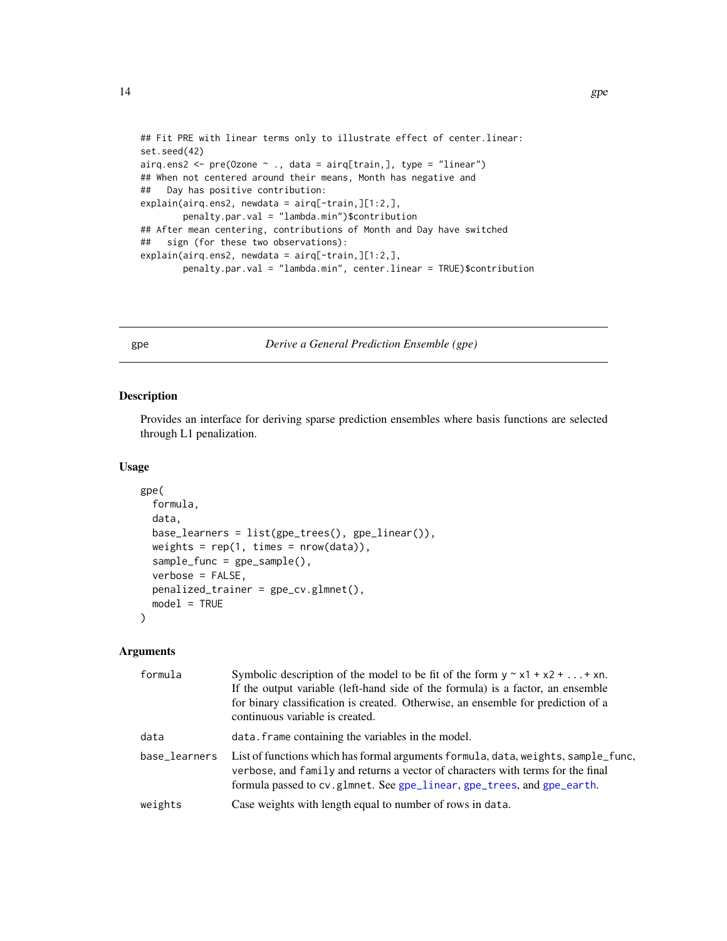```
## Fit PRE with linear terms only to illustrate effect of center.linear:
set.seed(42)
airq.ens2 <- pre(Ozone \sim ., data = airq[train,], type = "linear")
## When not centered around their means, Month has negative and
## Day has positive contribution:
explain(airq.ens2, newdata = airq[-train,][1:2,],
       penalty.par.val = "lambda.min")$contribution
## After mean centering, contributions of Month and Day have switched
## sign (for these two observations):
explain(airq.ens2, newdata = airq[-train,][1:2,],
       penalty.par.val = "lambda.min", center.linear = TRUE)$contribution
```
<span id="page-13-1"></span>gpe *Derive a General Prediction Ensemble (gpe)*

#### Description

Provides an interface for deriving sparse prediction ensembles where basis functions are selected through L1 penalization.

#### Usage

```
gpe(
  formula,
  data,
  base_learners = list(gpe_trees(), gpe_linear()),
 weights = rep(1, times = new(data)),sample_func = gpe_sample(),
  verbose = FALSE,
  penalized_trainer = gpe_cv.glmnet(),
 model = TRUE)
```

| formula       | Symbolic description of the model to be fit of the form $y \sim x1 + x2 +  + xn$ .<br>If the output variable (left-hand side of the formula) is a factor, an ensemble<br>for binary classification is created. Otherwise, an ensemble for prediction of a<br>continuous variable is created. |
|---------------|----------------------------------------------------------------------------------------------------------------------------------------------------------------------------------------------------------------------------------------------------------------------------------------------|
| data          | data. frame containing the variables in the model.                                                                                                                                                                                                                                           |
| base_learners | List of functions which has formal arguments formula, data, weights, sample_func,<br>verbose, and family and returns a vector of characters with terms for the final<br>formula passed to cv.glmnet. See gpe_linear, gpe_trees, and gpe_earth.                                               |
| weights       | Case weights with length equal to number of rows in data.                                                                                                                                                                                                                                    |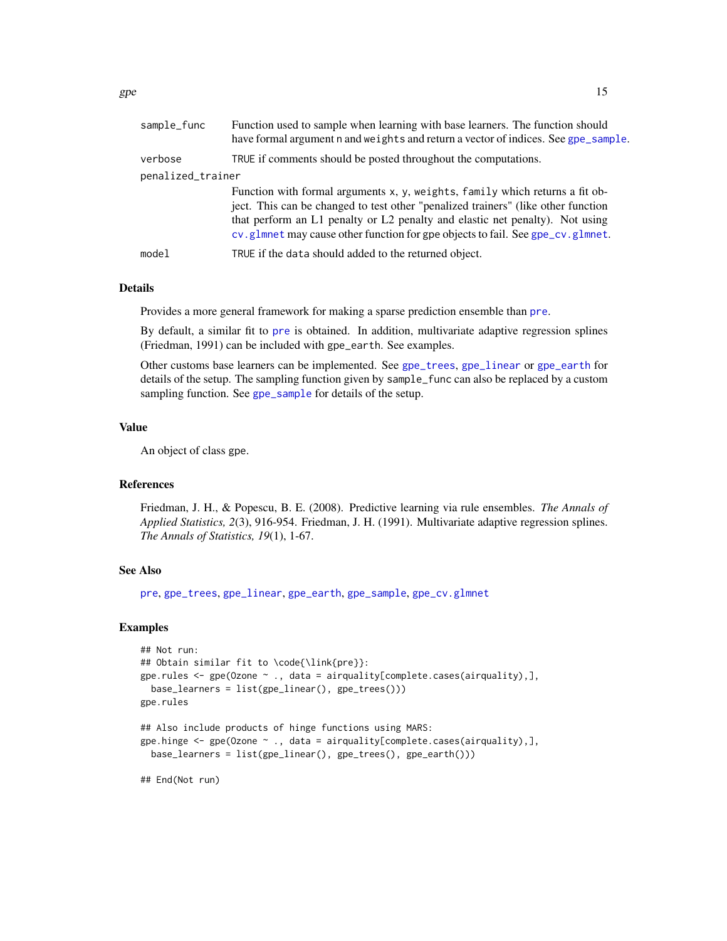<span id="page-14-0"></span>

| sample_func       | Function used to sample when learning with base learners. The function should<br>have formal argument n and weights and return a vector of indices. See gpe_sample.                                                                                                                                                                 |  |
|-------------------|-------------------------------------------------------------------------------------------------------------------------------------------------------------------------------------------------------------------------------------------------------------------------------------------------------------------------------------|--|
| verbose           | TRUE if comments should be posted throughout the computations.                                                                                                                                                                                                                                                                      |  |
| penalized_trainer |                                                                                                                                                                                                                                                                                                                                     |  |
|                   | Function with formal arguments x, y, weights, family which returns a fit ob-<br>ject. This can be changed to test other "penalized trainers" (like other function<br>that perform an L1 penalty or L2 penalty and elastic net penalty). Not using<br>cv.glmnet may cause other function for gpe objects to fail. See gpe_cv.glmnet. |  |
| model             | TRUE if the data should added to the returned object.                                                                                                                                                                                                                                                                               |  |
|                   |                                                                                                                                                                                                                                                                                                                                     |  |

# Details

Provides a more general framework for making a sparse prediction ensemble than [pre](#page-29-1).

By default, a similar fit to [pre](#page-29-1) is obtained. In addition, multivariate adaptive regression splines (Friedman, 1991) can be included with gpe\_earth. See examples.

Other customs base learners can be implemented. See [gpe\\_trees](#page-17-2), [gpe\\_linear](#page-17-1) or [gpe\\_earth](#page-17-1) for details of the setup. The sampling function given by sample\_func can also be replaced by a custom sampling function. See [gpe\\_sample](#page-17-3) for details of the setup.

#### Value

An object of class gpe.

#### References

Friedman, J. H., & Popescu, B. E. (2008). Predictive learning via rule ensembles. *The Annals of Applied Statistics, 2*(3), 916-954. Friedman, J. H. (1991). Multivariate adaptive regression splines. *The Annals of Statistics, 19*(1), 1-67.

#### See Also

[pre](#page-29-1), [gpe\\_trees](#page-17-2), [gpe\\_linear](#page-17-1), [gpe\\_earth](#page-17-1), [gpe\\_sample](#page-17-3), [gpe\\_cv.glmnet](#page-15-1)

```
## Not run:
## Obtain similar fit to \code{\link{pre}}:
gpe.rules <- gpe(Ozone ~ ., data = airquality[complete.cases(airquality),],
 base_learners = list(gpe_linear(), gpe_trees()))
gpe.rules
## Also include products of hinge functions using MARS:
gpe.hinge <- gpe(Ozone ~ ., data = airquality[complete.cases(airquality),],
 base_learners = list(gpe_linear(), gpe_trees(), gpe_earth()))
```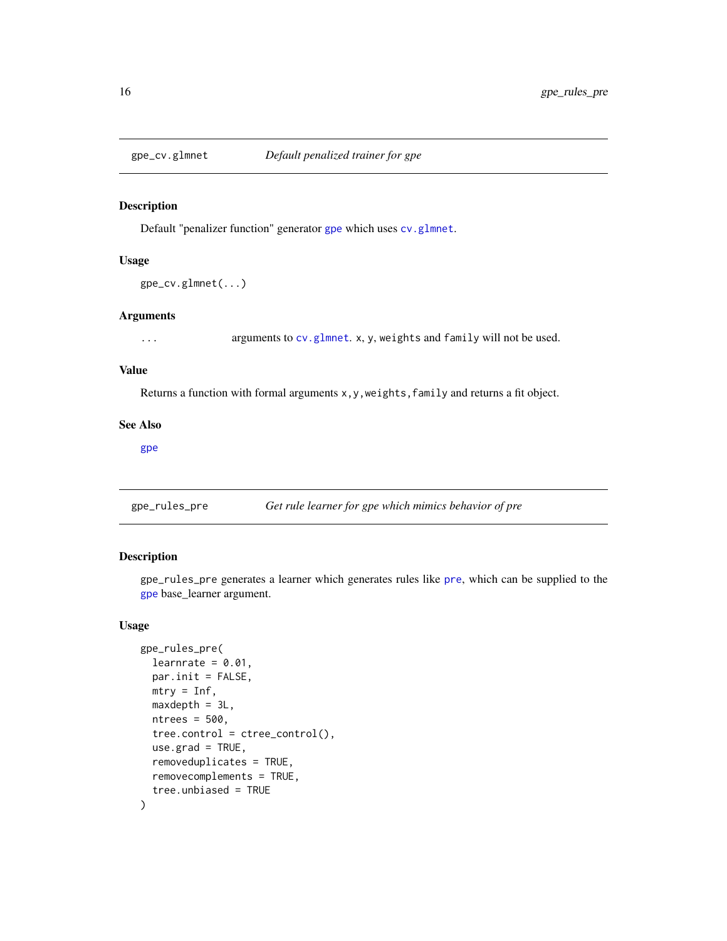<span id="page-15-1"></span><span id="page-15-0"></span>

Default "penalizer function" generator [gpe](#page-13-1) which uses [cv.glmnet](#page-0-0).

# Usage

```
gpe_cv.glmnet(...)
```
#### Arguments

... arguments to [cv.glmnet](#page-0-0). x, y, weights and family will not be used.

#### Value

Returns a function with formal arguments x, y, weights, family and returns a fit object.

#### See Also

[gpe](#page-13-1)

gpe\_rules\_pre *Get rule learner for gpe which mimics behavior of pre*

# Description

gpe\_rules\_pre generates a learner which generates rules like [pre](#page-29-1), which can be supplied to the [gpe](#page-13-1) base\_learner argument.

# Usage

```
gpe_rules_pre(
  learnrate = 0.01,
  par.init = FALSE,
 mtry = Inf,
  maxdepth = 3L,ntrees = 500,
  tree.control = tree\_control(),use.grad = TRUE,
  removeduplicates = TRUE,
  removecomplements = TRUE,
  tree.unbiased = TRUE
\mathcal{E}
```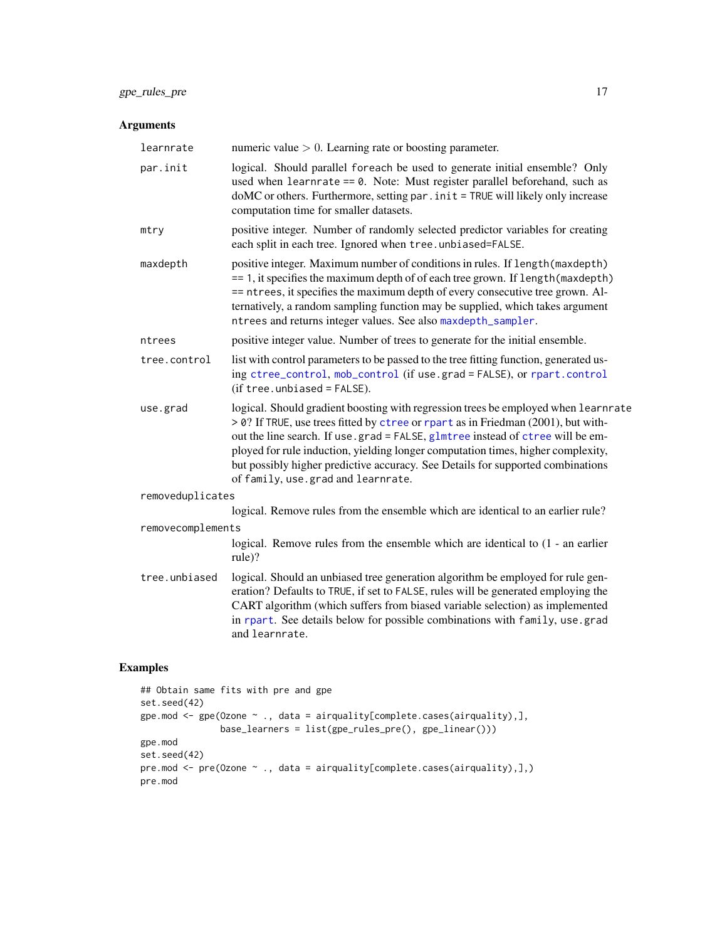# <span id="page-16-0"></span>gpe\_rules\_pre 17

# Arguments

| learnrate         | numeric value $> 0$ . Learning rate or boosting parameter.                                                                                                                                                                                                                                                                                                                                                                                                             |
|-------------------|------------------------------------------------------------------------------------------------------------------------------------------------------------------------------------------------------------------------------------------------------------------------------------------------------------------------------------------------------------------------------------------------------------------------------------------------------------------------|
| par.init          | logical. Should parallel foreach be used to generate initial ensemble? Only<br>used when learnrate == $0$ . Note: Must register parallel beforehand, such as<br>doMC or others. Furthermore, setting par . init = TRUE will likely only increase<br>computation time for smaller datasets.                                                                                                                                                                             |
| mtry              | positive integer. Number of randomly selected predictor variables for creating<br>each split in each tree. Ignored when tree.unbiased=FALSE.                                                                                                                                                                                                                                                                                                                           |
| maxdepth          | positive integer. Maximum number of conditions in rules. If length (maxdepth)<br>== 1, it specifies the maximum depth of of each tree grown. If length (maxdepth)<br>== ntrees, it specifies the maximum depth of every consecutive tree grown. Al-<br>ternatively, a random sampling function may be supplied, which takes argument<br>ntrees and returns integer values. See also maxdepth_sampler.                                                                  |
| ntrees            | positive integer value. Number of trees to generate for the initial ensemble.                                                                                                                                                                                                                                                                                                                                                                                          |
| tree.control      | list with control parameters to be passed to the tree fitting function, generated us-<br>ing ctree_control, mob_control (if use.grad = FALSE), or rpart.control<br>$(if tree. unbiased = FALSE).$                                                                                                                                                                                                                                                                      |
| use.grad          | logical. Should gradient boosting with regression trees be employed when learnrate<br>> 0? If TRUE, use trees fitted by ctree or rpart as in Friedman (2001), but with-<br>out the line search. If use.grad = FALSE, glmtree instead of ctree will be em-<br>ployed for rule induction, yielding longer computation times, higher complexity,<br>but possibly higher predictive accuracy. See Details for supported combinations<br>of family, use.grad and learnrate. |
| removeduplicates  |                                                                                                                                                                                                                                                                                                                                                                                                                                                                        |
|                   | logical. Remove rules from the ensemble which are identical to an earlier rule?                                                                                                                                                                                                                                                                                                                                                                                        |
| removecomplements |                                                                                                                                                                                                                                                                                                                                                                                                                                                                        |
|                   | logical. Remove rules from the ensemble which are identical to (1 - an earlier<br>rule)?                                                                                                                                                                                                                                                                                                                                                                               |
| tree.unbiased     | logical. Should an unbiased tree generation algorithm be employed for rule gen-<br>eration? Defaults to TRUE, if set to FALSE, rules will be generated employing the<br>CART algorithm (which suffers from biased variable selection) as implemented<br>in rpart. See details below for possible combinations with family, use grad<br>and learnrate.                                                                                                                  |

```
## Obtain same fits with pre and gpe
set.seed(42)
gpe.mod <- gpe(Ozone ~ ., data = airquality[complete.cases(airquality),],
              base_learners = list(gpe_rules_pre(), gpe_linear()))
gpe.mod
set.seed(42)
pre.mod <- pre(Ozone ~ ., data = airquality[complete.cases(airquality),],)
pre.mod
```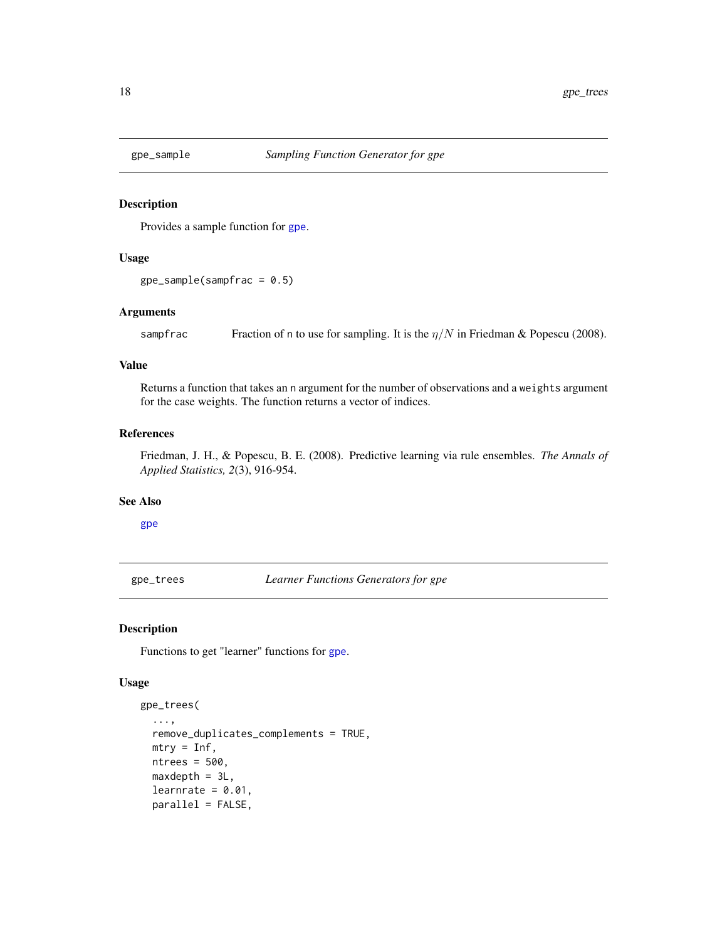<span id="page-17-3"></span><span id="page-17-0"></span>

Provides a sample function for [gpe](#page-13-1).

#### Usage

```
gpe\_sample(sampfrac = 0.5)
```
# Arguments

sampfrac Fraction of n to use for sampling. It is the  $\eta/N$  in Friedman & Popescu (2008).

# Value

Returns a function that takes an n argument for the number of observations and a weights argument for the case weights. The function returns a vector of indices.

#### References

Friedman, J. H., & Popescu, B. E. (2008). Predictive learning via rule ensembles. *The Annals of Applied Statistics, 2*(3), 916-954.

#### See Also

[gpe](#page-13-1)

<span id="page-17-2"></span>gpe\_trees *Learner Functions Generators for gpe*

# <span id="page-17-1"></span>Description

Functions to get "learner" functions for [gpe](#page-13-1).

#### Usage

```
gpe_trees(
  ...,
  remove_duplicates_complements = TRUE,
 mtry = Inf,ntrees = 500,
 maxdepth = 3L,learnrate = 0.01,
 parallel = FALSE,
```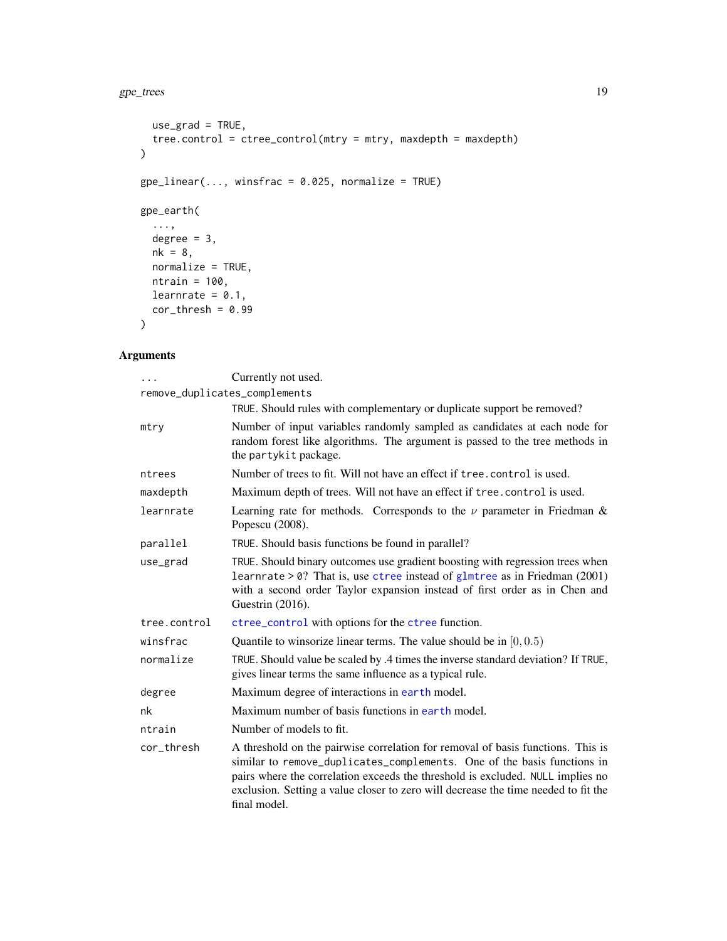#### <span id="page-18-0"></span>gpe\_trees 19

```
use\_grad = TRUE,tree.control = ctree_control(mtry = mtry, maxdepth = maxdepth)
\mathcal{L}gpe\_linear(..., winsfrac = 0.025, normalize = TRUE)gpe_earth(
  ...,
  degree = 3,
  nk = 8,normalize = TRUE,
  ntrain = 100,learnrate = 0.1,
cor_{thresh} = 0.99
\lambda
```

| .                             | Currently not used.                                                                                                                                                                                                                                                                                                                                |
|-------------------------------|----------------------------------------------------------------------------------------------------------------------------------------------------------------------------------------------------------------------------------------------------------------------------------------------------------------------------------------------------|
| remove_duplicates_complements |                                                                                                                                                                                                                                                                                                                                                    |
|                               | TRUE. Should rules with complementary or duplicate support be removed?                                                                                                                                                                                                                                                                             |
| mtry                          | Number of input variables randomly sampled as candidates at each node for<br>random forest like algorithms. The argument is passed to the tree methods in<br>the partykit package.                                                                                                                                                                 |
| ntrees                        | Number of trees to fit. Will not have an effect if tree, control is used.                                                                                                                                                                                                                                                                          |
| maxdepth                      | Maximum depth of trees. Will not have an effect if tree. control is used.                                                                                                                                                                                                                                                                          |
| learnrate                     | Learning rate for methods. Corresponds to the $\nu$ parameter in Friedman &<br>Popescu (2008).                                                                                                                                                                                                                                                     |
| parallel                      | TRUE. Should basis functions be found in parallel?                                                                                                                                                                                                                                                                                                 |
| use_grad                      | TRUE. Should binary outcomes use gradient boosting with regression trees when<br>learnrate $> 0$ ? That is, use ctree instead of glmtree as in Friedman (2001)<br>with a second order Taylor expansion instead of first order as in Chen and<br>Guestrin (2016).                                                                                   |
| tree.control                  | ctree_control with options for the ctree function.                                                                                                                                                                                                                                                                                                 |
| winsfrac                      | Quantile to winsorize linear terms. The value should be in $[0, 0.5)$                                                                                                                                                                                                                                                                              |
| normalize                     | TRUE. Should value be scaled by .4 times the inverse standard deviation? If TRUE,<br>gives linear terms the same influence as a typical rule.                                                                                                                                                                                                      |
| degree                        | Maximum degree of interactions in earth model.                                                                                                                                                                                                                                                                                                     |
| nk                            | Maximum number of basis functions in earth model.                                                                                                                                                                                                                                                                                                  |
| ntrain                        | Number of models to fit.                                                                                                                                                                                                                                                                                                                           |
| cor_thresh                    | A threshold on the pairwise correlation for removal of basis functions. This is<br>similar to remove_duplicates_complements. One of the basis functions in<br>pairs where the correlation exceeds the threshold is excluded. NULL implies no<br>exclusion. Setting a value closer to zero will decrease the time needed to fit the<br>final model. |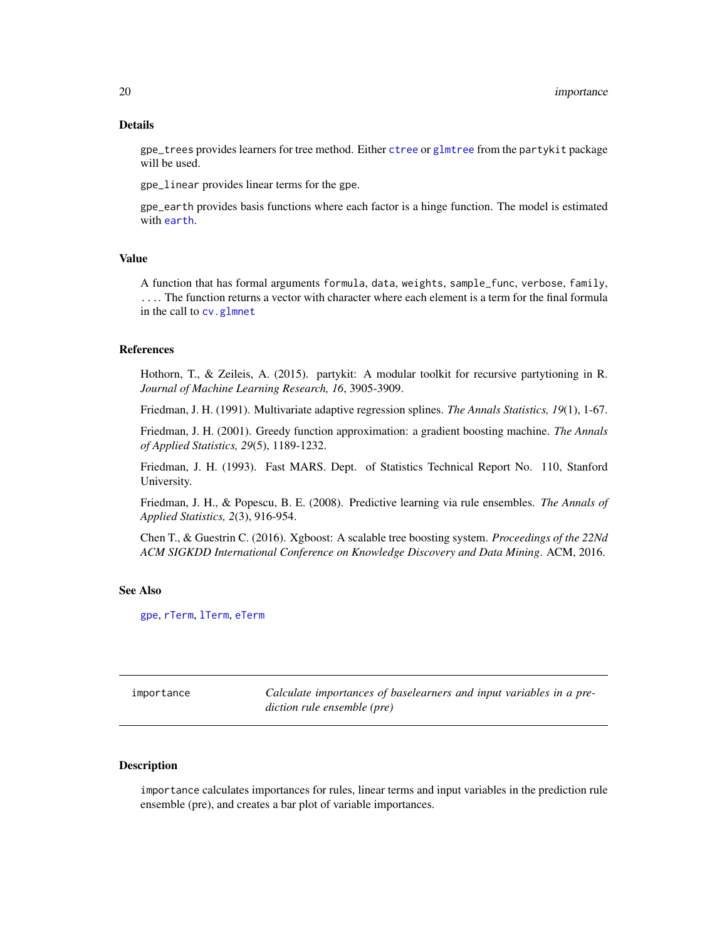#### <span id="page-19-0"></span>Details

gpe\_trees provides learners for tree method. Either [ctree](#page-0-0) or [glmtree](#page-0-0) from the partykit package will be used.

gpe\_linear provides linear terms for the gpe.

gpe\_earth provides basis functions where each factor is a hinge function. The model is estimated with [earth](#page-0-0).

# Value

A function that has formal arguments formula, data, weights, sample\_func, verbose, family, .... The function returns a vector with character where each element is a term for the final formula in the call to [cv.glmnet](#page-0-0)

#### References

Hothorn, T., & Zeileis, A. (2015). partykit: A modular toolkit for recursive partytioning in R. *Journal of Machine Learning Research, 16*, 3905-3909.

Friedman, J. H. (1991). Multivariate adaptive regression splines. *The Annals Statistics, 19*(1), 1-67.

Friedman, J. H. (2001). Greedy function approximation: a gradient boosting machine. *The Annals of Applied Statistics, 29*(5), 1189-1232.

Friedman, J. H. (1993). Fast MARS. Dept. of Statistics Technical Report No. 110, Stanford University.

Friedman, J. H., & Popescu, B. E. (2008). Predictive learning via rule ensembles. *The Annals of Applied Statistics, 2*(3), 916-954.

Chen T., & Guestrin C. (2016). Xgboost: A scalable tree boosting system. *Proceedings of the 22Nd ACM SIGKDD International Conference on Knowledge Discovery and Data Mining*. ACM, 2016.

#### See Also

[gpe](#page-13-1), [rTerm](#page-38-1), [lTerm](#page-38-2), [eTerm](#page-38-2)

<span id="page-19-1"></span>

| importance | Calculate importances of baselearners and input variables in a pre- |
|------------|---------------------------------------------------------------------|
|            | diction rule ensemble (pre)                                         |

# Description

importance calculates importances for rules, linear terms and input variables in the prediction rule ensemble (pre), and creates a bar plot of variable importances.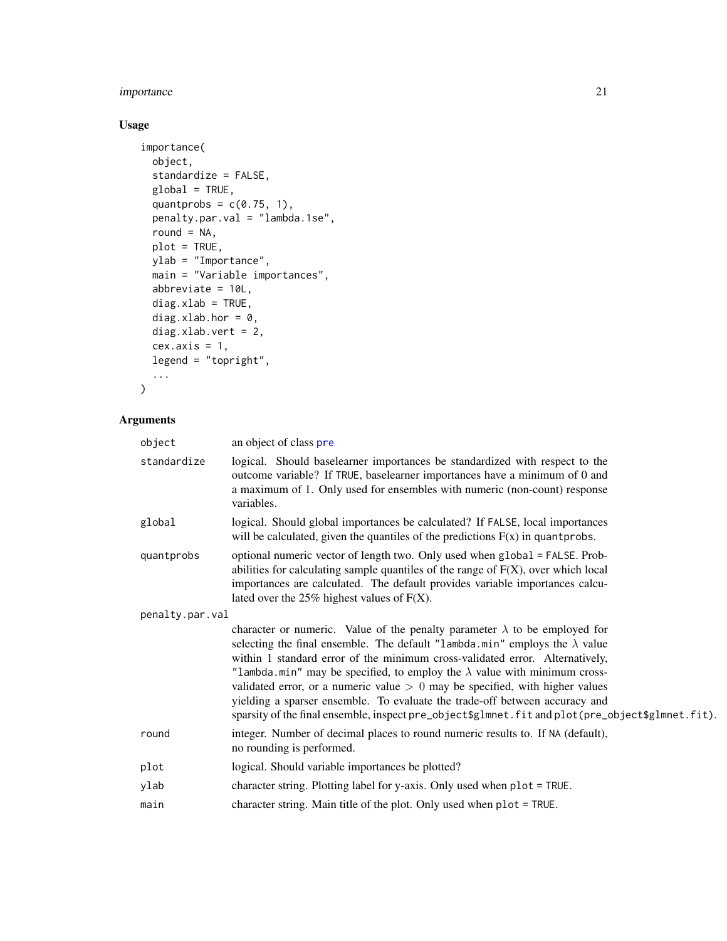# <span id="page-20-0"></span>importance 21

# Usage

```
importance(
 object,
  standardize = FALSE,
 global = TRUE,
 quantprobs = c(0.75, 1),
 penalty.par.val = "lambda.1se",
 round = NA,
 plot = TRUE,
 ylab = "Importance",
 main = "Variable importances",
 abbreviate = 10L,
 diag.xlab = TRUE,
 diag.xlab.hor = 0,
 diag.xlab.vert = 2,
 cex. axis = 1,legend = "topright",
  ...
\mathcal{L}
```

| object          | an object of class pre                                                                                                                                                                                                                                                                                                                                                                                                                                                                                                                                                                                           |  |  |  |  |  |
|-----------------|------------------------------------------------------------------------------------------------------------------------------------------------------------------------------------------------------------------------------------------------------------------------------------------------------------------------------------------------------------------------------------------------------------------------------------------------------------------------------------------------------------------------------------------------------------------------------------------------------------------|--|--|--|--|--|
| standardize     | logical. Should baselearner importances be standardized with respect to the<br>outcome variable? If TRUE, baselearner importances have a minimum of 0 and<br>a maximum of 1. Only used for ensembles with numeric (non-count) response<br>variables.                                                                                                                                                                                                                                                                                                                                                             |  |  |  |  |  |
| global          | logical. Should global importances be calculated? If FALSE, local importances<br>will be calculated, given the quantiles of the predictions $F(x)$ in quantprobs.                                                                                                                                                                                                                                                                                                                                                                                                                                                |  |  |  |  |  |
| quantprobs      | optional numeric vector of length two. Only used when global = FALSE. Prob-<br>abilities for calculating sample quantiles of the range of $F(X)$ , over which local<br>importances are calculated. The default provides variable importances calcu-<br>lated over the $25\%$ highest values of $F(X)$ .                                                                                                                                                                                                                                                                                                          |  |  |  |  |  |
| penalty.par.val |                                                                                                                                                                                                                                                                                                                                                                                                                                                                                                                                                                                                                  |  |  |  |  |  |
|                 | character or numeric. Value of the penalty parameter $\lambda$ to be employed for<br>selecting the final ensemble. The default "lambda.min" employs the $\lambda$ value<br>within 1 standard error of the minimum cross-validated error. Alternatively,<br>"lambda.min" may be specified, to employ the $\lambda$ value with minimum cross-<br>validated error, or a numeric value $> 0$ may be specified, with higher values<br>yielding a sparser ensemble. To evaluate the trade-off between accuracy and<br>sparsity of the final ensemble, inspect pre_object\$glmnet.fit and plot(pre_object\$glmnet.fit). |  |  |  |  |  |
| round           | integer. Number of decimal places to round numeric results to. If NA (default),<br>no rounding is performed.                                                                                                                                                                                                                                                                                                                                                                                                                                                                                                     |  |  |  |  |  |
| plot            | logical. Should variable importances be plotted?                                                                                                                                                                                                                                                                                                                                                                                                                                                                                                                                                                 |  |  |  |  |  |
| ylab            | character string. Plotting label for y-axis. Only used when plot = TRUE.                                                                                                                                                                                                                                                                                                                                                                                                                                                                                                                                         |  |  |  |  |  |
| main            | character string. Main title of the plot. Only used when plot = TRUE.                                                                                                                                                                                                                                                                                                                                                                                                                                                                                                                                            |  |  |  |  |  |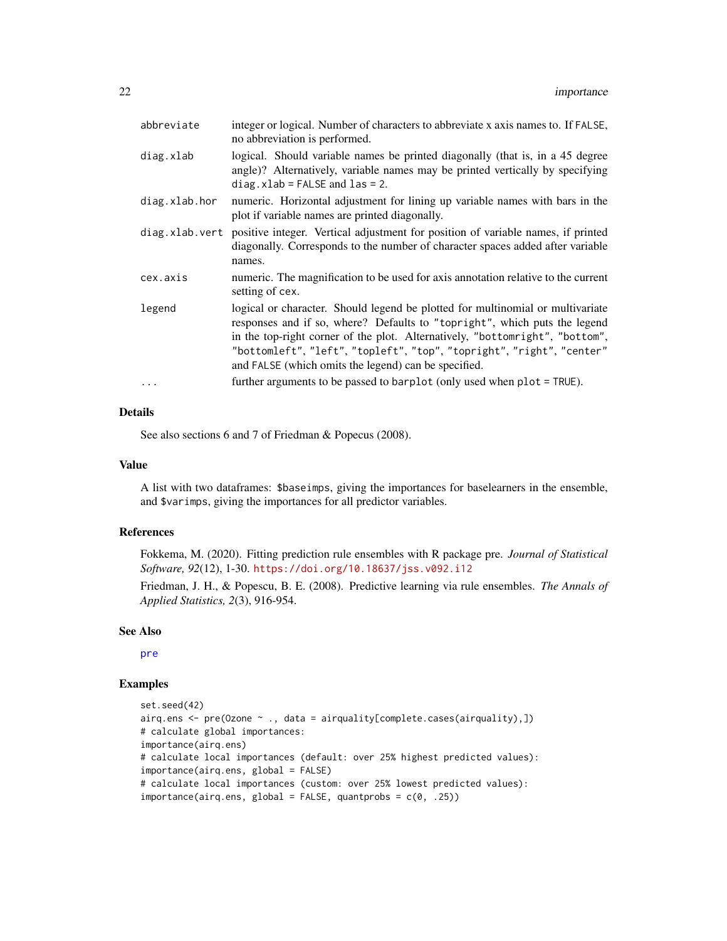| abbreviate     | integer or logical. Number of characters to abbreviate x axis names to. If FALSE,<br>no abbreviation is performed.                                                                                                                                                                                                                                                           |  |  |  |  |  |
|----------------|------------------------------------------------------------------------------------------------------------------------------------------------------------------------------------------------------------------------------------------------------------------------------------------------------------------------------------------------------------------------------|--|--|--|--|--|
| diag.xlab      | logical. Should variable names be printed diagonally (that is, in a 45 degree<br>angle)? Alternatively, variable names may be printed vertically by specifying<br>$diag.xlab = FALSE and las = 2.$                                                                                                                                                                           |  |  |  |  |  |
| diag.xlab.hor  | numeric. Horizontal adjustment for lining up variable names with bars in the<br>plot if variable names are printed diagonally.                                                                                                                                                                                                                                               |  |  |  |  |  |
| diag.xlab.vert | positive integer. Vertical adjustment for position of variable names, if printed<br>diagonally. Corresponds to the number of character spaces added after variable<br>names.                                                                                                                                                                                                 |  |  |  |  |  |
| cex.axis       | numeric. The magnification to be used for axis annotation relative to the current<br>setting of cex.                                                                                                                                                                                                                                                                         |  |  |  |  |  |
| legend         | logical or character. Should legend be plotted for multinomial or multivariate<br>responses and if so, where? Defaults to "topright", which puts the legend<br>in the top-right corner of the plot. Alternatively, "bottomright", "bottom",<br>"bottomleft", "left", "topleft", "top", "topright", "right", "center"<br>and FALSE (which omits the legend) can be specified. |  |  |  |  |  |
| $\ddots$ .     | further arguments to be passed to barplot (only used when plot = TRUE).                                                                                                                                                                                                                                                                                                      |  |  |  |  |  |

# Details

See also sections 6 and 7 of Friedman & Popecus (2008).

#### Value

A list with two dataframes: \$baseimps, giving the importances for baselearners in the ensemble, and \$varimps, giving the importances for all predictor variables.

#### References

Fokkema, M. (2020). Fitting prediction rule ensembles with R package pre. *Journal of Statistical Software, 92*(12), 1-30. <https://doi.org/10.18637/jss.v092.i12>

Friedman, J. H., & Popescu, B. E. (2008). Predictive learning via rule ensembles. *The Annals of Applied Statistics, 2*(3), 916-954.

#### See Also

[pre](#page-29-1)

```
set.seed(42)
airq.ens <- pre(Ozone ~ ., data = airquality[complete.cases(airquality),])
# calculate global importances:
importance(airq.ens)
# calculate local importances (default: over 25% highest predicted values):
importance(airq.ens, global = FALSE)
# calculate local importances (custom: over 25% lowest predicted values):
importance(airq.ens, global = FALSE, quantprobs = c(0, .25))
```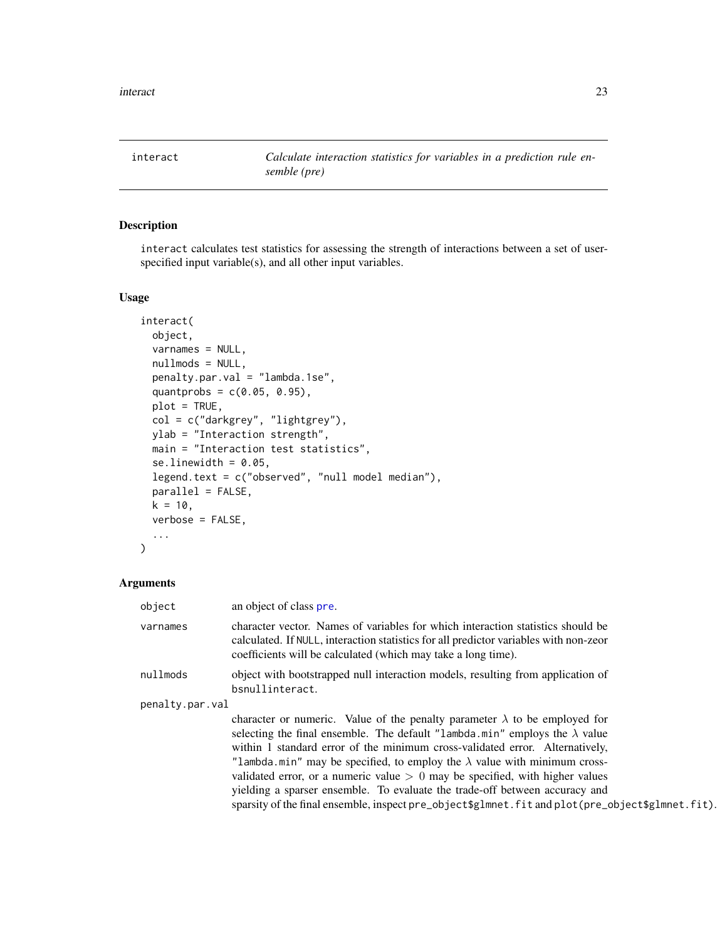<span id="page-22-1"></span><span id="page-22-0"></span>interact *Calculate interaction statistics for variables in a prediction rule ensemble (pre)*

# Description

interact calculates test statistics for assessing the strength of interactions between a set of userspecified input variable(s), and all other input variables.

#### Usage

```
interact(
 object,
 varnames = NULL,
  nullmods = NULL,
 penalty.par.val = "lambda.1se",
  quantprobs = c(0.05, 0.95),
 plot = TRUE,
 col = c("darkgrey", "lightgrey"),
 ylab = "Interaction strength",
 main = "Interaction test statistics",
  se.linewidth = 0.05,
  legend.text = c("observed", "null model median"),
 parallel = FALSE,
 k = 10,
  verbose = FALSE,
  ...
\mathcal{L}
```

| object          | an object of class pre.                                                                                                                                                                                                                   |  |  |  |  |
|-----------------|-------------------------------------------------------------------------------------------------------------------------------------------------------------------------------------------------------------------------------------------|--|--|--|--|
| varnames        | character vector. Names of variables for which interaction statistics should be<br>calculated. If NULL, interaction statistics for all predictor variables with non-zeor<br>coefficients will be calculated (which may take a long time). |  |  |  |  |
| nullmods        | object with bootstrapped null interaction models, resulting from application of<br>bsnullinteract.                                                                                                                                        |  |  |  |  |
| penalty.par.val |                                                                                                                                                                                                                                           |  |  |  |  |
|                 | character or numeric. Value of the penalty parameter $\lambda$ to be employed for                                                                                                                                                         |  |  |  |  |
|                 | selecting the final ensemble. The default "lambda.min" employs the $\lambda$ value<br>within 1 standard error of the minimum cross-validated error. Alternatively,                                                                        |  |  |  |  |
|                 | "lambda min" may be specified, to employ the $\lambda$ value with minimum cross-                                                                                                                                                          |  |  |  |  |
|                 | validated error, or a numeric value $> 0$ may be specified, with higher values                                                                                                                                                            |  |  |  |  |
|                 | yielding a sparser ensemble. To evaluate the trade-off between accuracy and                                                                                                                                                               |  |  |  |  |
|                 | sparsity of the final ensemble, inspect pre_object\$glmnet.fit and plot(pre_object\$glmnet.fit).                                                                                                                                          |  |  |  |  |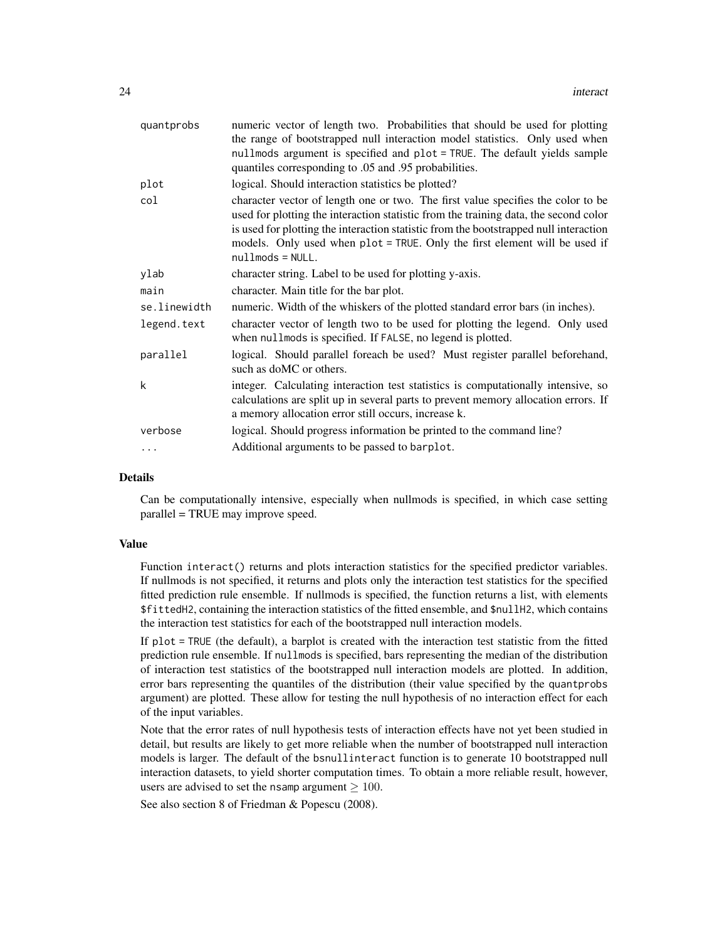| quantprobs   | numeric vector of length two. Probabilities that should be used for plotting<br>the range of bootstrapped null interaction model statistics. Only used when<br>nullmods argument is specified and plot = TRUE. The default yields sample<br>quantiles corresponding to .05 and .95 probabilities.                                                                     |  |  |  |  |  |
|--------------|-----------------------------------------------------------------------------------------------------------------------------------------------------------------------------------------------------------------------------------------------------------------------------------------------------------------------------------------------------------------------|--|--|--|--|--|
| plot         | logical. Should interaction statistics be plotted?                                                                                                                                                                                                                                                                                                                    |  |  |  |  |  |
| col          | character vector of length one or two. The first value specifies the color to be<br>used for plotting the interaction statistic from the training data, the second color<br>is used for plotting the interaction statistic from the bootstrapped null interaction<br>models. Only used when plot = TRUE. Only the first element will be used if<br>$nullmods = NULL.$ |  |  |  |  |  |
| ylab         | character string. Label to be used for plotting y-axis.                                                                                                                                                                                                                                                                                                               |  |  |  |  |  |
| main         | character. Main title for the bar plot.                                                                                                                                                                                                                                                                                                                               |  |  |  |  |  |
| se.linewidth | numeric. Width of the whiskers of the plotted standard error bars (in inches).                                                                                                                                                                                                                                                                                        |  |  |  |  |  |
| legend.text  | character vector of length two to be used for plotting the legend. Only used<br>when nullmods is specified. If FALSE, no legend is plotted.                                                                                                                                                                                                                           |  |  |  |  |  |
| parallel     | logical. Should parallel foreach be used? Must register parallel beforehand,<br>such as doMC or others.                                                                                                                                                                                                                                                               |  |  |  |  |  |
| k            | integer. Calculating interaction test statistics is computationally intensive, so<br>calculations are split up in several parts to prevent memory allocation errors. If<br>a memory allocation error still occurs, increase k.                                                                                                                                        |  |  |  |  |  |
| verbose      | logical. Should progress information be printed to the command line?                                                                                                                                                                                                                                                                                                  |  |  |  |  |  |
| $\ddotsc$    | Additional arguments to be passed to barplot.                                                                                                                                                                                                                                                                                                                         |  |  |  |  |  |

# Details

Can be computationally intensive, especially when nullmods is specified, in which case setting parallel = TRUE may improve speed.

#### Value

Function interact() returns and plots interaction statistics for the specified predictor variables. If nullmods is not specified, it returns and plots only the interaction test statistics for the specified fitted prediction rule ensemble. If nullmods is specified, the function returns a list, with elements \$fittedH2, containing the interaction statistics of the fitted ensemble, and \$nullH2, which contains the interaction test statistics for each of the bootstrapped null interaction models.

If plot = TRUE (the default), a barplot is created with the interaction test statistic from the fitted prediction rule ensemble. If nullmods is specified, bars representing the median of the distribution of interaction test statistics of the bootstrapped null interaction models are plotted. In addition, error bars representing the quantiles of the distribution (their value specified by the quantprobs argument) are plotted. These allow for testing the null hypothesis of no interaction effect for each of the input variables.

Note that the error rates of null hypothesis tests of interaction effects have not yet been studied in detail, but results are likely to get more reliable when the number of bootstrapped null interaction models is larger. The default of the bsnullinteract function is to generate 10 bootstrapped null interaction datasets, to yield shorter computation times. To obtain a more reliable result, however, users are advised to set the nsamp argument  $> 100$ .

See also section 8 of Friedman & Popescu (2008).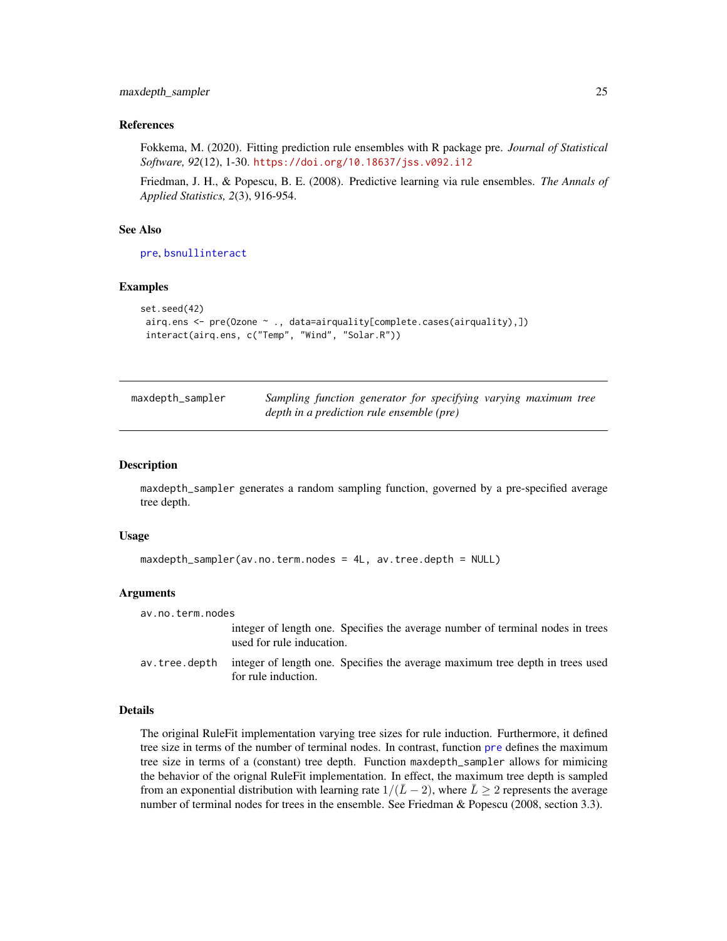#### <span id="page-24-0"></span>References

Fokkema, M. (2020). Fitting prediction rule ensembles with R package pre. *Journal of Statistical Software, 92*(12), 1-30. <https://doi.org/10.18637/jss.v092.i12>

Friedman, J. H., & Popescu, B. E. (2008). Predictive learning via rule ensembles. *The Annals of Applied Statistics, 2*(3), 916-954.

# See Also

[pre](#page-29-1), [bsnullinteract](#page-1-1)

#### Examples

```
set.seed(42)
airq.ens <- pre(Ozone ~ ., data=airquality[complete.cases(airquality),])
 interact(airq.ens, c("Temp", "Wind", "Solar.R"))
```
<span id="page-24-1"></span>

| maxdepth_sampler | Sampling function generator for specifying varying maximum tree |  |  |  |
|------------------|-----------------------------------------------------------------|--|--|--|
|                  | depth in a prediction rule ensemble (pre)                       |  |  |  |

# **Description**

maxdepth\_sampler generates a random sampling function, governed by a pre-specified average tree depth.

#### Usage

```
maxdepth_sampler(av.no.term.nodes = 4L, av.tree.depth = NULL)
```
#### Arguments

```
av.no.term.nodes
```
integer of length one. Specifies the average number of terminal nodes in trees used for rule inducation.

av.tree.depth integer of length one. Specifies the average maximum tree depth in trees used for rule induction.

#### Details

The original RuleFit implementation varying tree sizes for rule induction. Furthermore, it defined tree size in terms of the number of terminal nodes. In contrast, function [pre](#page-29-1) defines the maximum tree size in terms of a (constant) tree depth. Function maxdepth\_sampler allows for mimicing the behavior of the orignal RuleFit implementation. In effect, the maximum tree depth is sampled from an exponential distribution with learning rate  $1/(\bar{L}-2)$ , where  $\bar{L} \geq 2$  represents the average number of terminal nodes for trees in the ensemble. See Friedman & Popescu (2008, section 3.3).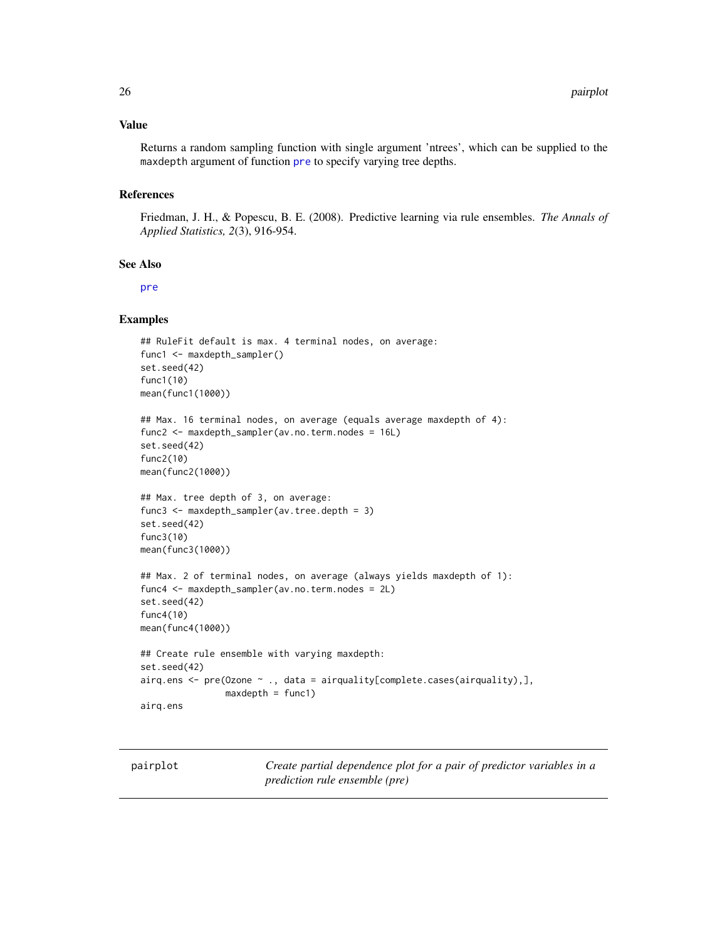#### <span id="page-25-0"></span>Value

Returns a random sampling function with single argument 'ntrees', which can be supplied to the maxdepth argument of function [pre](#page-29-1) to specify varying tree depths.

#### References

Friedman, J. H., & Popescu, B. E. (2008). Predictive learning via rule ensembles. *The Annals of Applied Statistics, 2*(3), 916-954.

#### See Also

[pre](#page-29-1)

#### Examples

```
## RuleFit default is max. 4 terminal nodes, on average:
func1 <- maxdepth_sampler()
set.seed(42)
func1(10)
mean(func1(1000))
## Max. 16 terminal nodes, on average (equals average maxdepth of 4):
func2 <- maxdepth_sampler(av.no.term.nodes = 16L)
set.seed(42)
func2(10)
mean(func2(1000))
## Max. tree depth of 3, on average:
func3 <- maxdepth_sampler(av.tree.depth = 3)
set.seed(42)
func3(10)
mean(func3(1000))
## Max. 2 of terminal nodes, on average (always yields maxdepth of 1):
func4 <- maxdepth_sampler(av.no.term.nodes = 2L)
set.seed(42)
func4(10)
mean(func4(1000))
## Create rule ensemble with varying maxdepth:
set.seed(42)
airq.ens <- pre(Ozone ~ ., data = airquality[complete.cases(airquality),],
                maxdepth = func1)airq.ens
```
<span id="page-25-1"></span>pairplot *Create partial dependence plot for a pair of predictor variables in a prediction rule ensemble (pre)*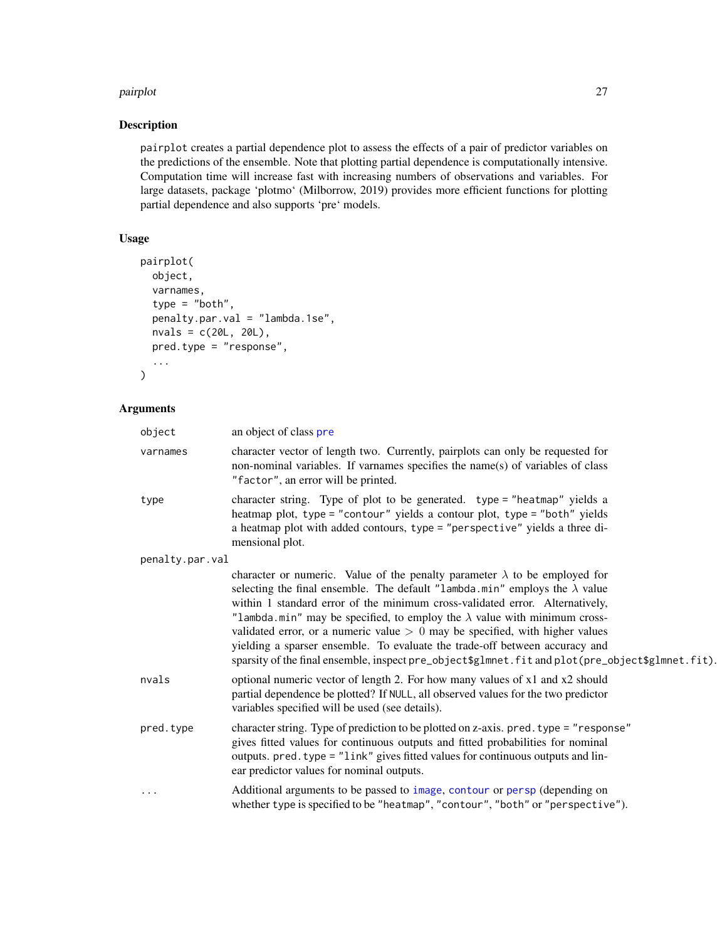#### <span id="page-26-0"></span>pairplot that the contract of the contract of the contract of the contract of the contract of the contract of the contract of the contract of the contract of the contract of the contract of the contract of the contract of

# Description

pairplot creates a partial dependence plot to assess the effects of a pair of predictor variables on the predictions of the ensemble. Note that plotting partial dependence is computationally intensive. Computation time will increase fast with increasing numbers of observations and variables. For large datasets, package 'plotmo' (Milborrow, 2019) provides more efficient functions for plotting partial dependence and also supports 'pre' models.

# Usage

```
pairplot(
 object,
  varnames,
  type = "both",
 penalty.par.val = "lambda.1se",
 nvals = c(20L, 20L),pred.type = "response",
  ...
)
```

| object          | an object of class pre                                                                                                                                                                                                                                                                                                                                                                                                                                                                                                                                                                                           |  |  |  |  |  |
|-----------------|------------------------------------------------------------------------------------------------------------------------------------------------------------------------------------------------------------------------------------------------------------------------------------------------------------------------------------------------------------------------------------------------------------------------------------------------------------------------------------------------------------------------------------------------------------------------------------------------------------------|--|--|--|--|--|
| varnames        | character vector of length two. Currently, pairplots can only be requested for<br>non-nominal variables. If varnames specifies the name(s) of variables of class<br>"factor", an error will be printed.                                                                                                                                                                                                                                                                                                                                                                                                          |  |  |  |  |  |
| type            | character string. Type of plot to be generated. type = "heatmap" yields a<br>heatmap plot, type = "contour" yields a contour plot, type = "both" yields<br>a heatmap plot with added contours, type = "perspective" yields a three di-<br>mensional plot.                                                                                                                                                                                                                                                                                                                                                        |  |  |  |  |  |
| penalty.par.val |                                                                                                                                                                                                                                                                                                                                                                                                                                                                                                                                                                                                                  |  |  |  |  |  |
|                 | character or numeric. Value of the penalty parameter $\lambda$ to be employed for<br>selecting the final ensemble. The default "lambda.min" employs the $\lambda$ value<br>within 1 standard error of the minimum cross-validated error. Alternatively,<br>"lambda.min" may be specified, to employ the $\lambda$ value with minimum cross-<br>validated error, or a numeric value $> 0$ may be specified, with higher values<br>yielding a sparser ensemble. To evaluate the trade-off between accuracy and<br>sparsity of the final ensemble, inspect pre_object\$glmnet.fit and plot(pre_object\$glmnet.fit). |  |  |  |  |  |
| nvals           | optional numeric vector of length 2. For how many values of x1 and x2 should<br>partial dependence be plotted? If NULL, all observed values for the two predictor<br>variables specified will be used (see details).                                                                                                                                                                                                                                                                                                                                                                                             |  |  |  |  |  |
| pred.type       | character string. Type of prediction to be plotted on z-axis. pred. type = "response"<br>gives fitted values for continuous outputs and fitted probabilities for nominal<br>outputs. pred. type = "link" gives fitted values for continuous outputs and lin-<br>ear predictor values for nominal outputs.                                                                                                                                                                                                                                                                                                        |  |  |  |  |  |
| .               | Additional arguments to be passed to image, contour or persp (depending on<br>whether type is specified to be "heatmap", "contour", "both" or "perspective").                                                                                                                                                                                                                                                                                                                                                                                                                                                    |  |  |  |  |  |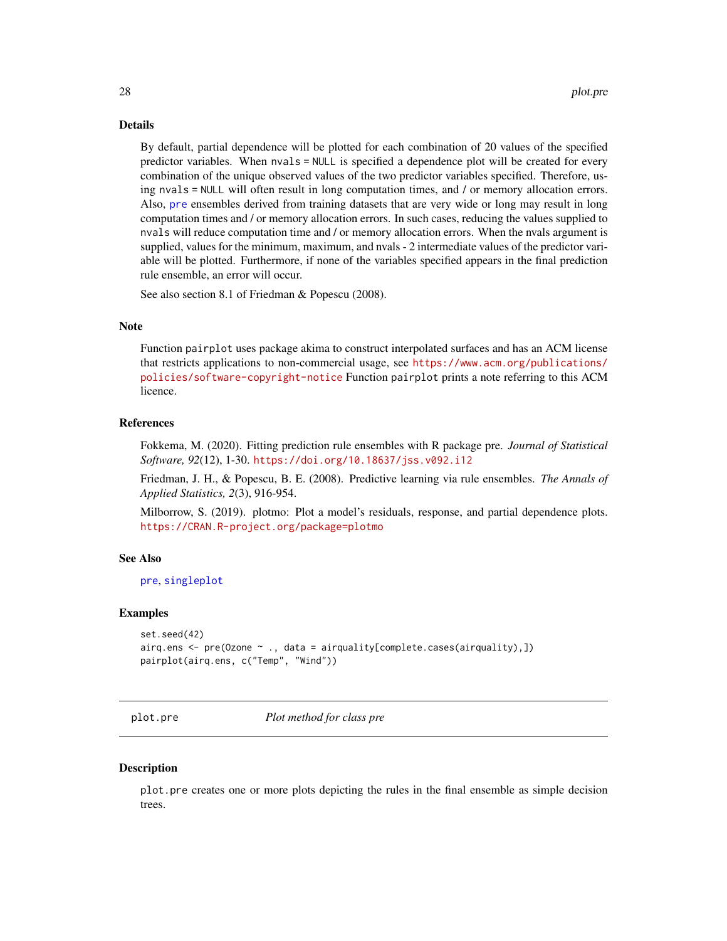#### <span id="page-27-0"></span>Details

By default, partial dependence will be plotted for each combination of 20 values of the specified predictor variables. When nvals = NULL is specified a dependence plot will be created for every combination of the unique observed values of the two predictor variables specified. Therefore, using nvals = NULL will often result in long computation times, and / or memory allocation errors. Also, [pre](#page-29-1) ensembles derived from training datasets that are very wide or long may result in long computation times and / or memory allocation errors. In such cases, reducing the values supplied to nvals will reduce computation time and / or memory allocation errors. When the nvals argument is supplied, values for the minimum, maximum, and nvals - 2 intermediate values of the predictor variable will be plotted. Furthermore, if none of the variables specified appears in the final prediction rule ensemble, an error will occur.

See also section 8.1 of Friedman & Popescu (2008).

#### **Note**

Function pairplot uses package akima to construct interpolated surfaces and has an ACM license that restricts applications to non-commercial usage, see [https://www.acm.org/publications/](https://www.acm.org/publications/policies/software-copyright-notice) [policies/software-copyright-notice](https://www.acm.org/publications/policies/software-copyright-notice) Function pairplot prints a note referring to this ACM licence.

#### References

Fokkema, M. (2020). Fitting prediction rule ensembles with R package pre. *Journal of Statistical Software, 92*(12), 1-30. <https://doi.org/10.18637/jss.v092.i12>

Friedman, J. H., & Popescu, B. E. (2008). Predictive learning via rule ensembles. *The Annals of Applied Statistics, 2*(3), 916-954.

Milborrow, S. (2019). plotmo: Plot a model's residuals, response, and partial dependence plots. <https://CRAN.R-project.org/package=plotmo>

#### See Also

[pre](#page-29-1), [singleplot](#page-39-1)

#### Examples

```
set.seed(42)
airq.ens <- pre(Ozone ~ ., data = airquality[complete.cases(airquality),])
pairplot(airq.ens, c("Temp", "Wind"))
```
<span id="page-27-1"></span>plot.pre *Plot method for class pre*

#### **Description**

plot.pre creates one or more plots depicting the rules in the final ensemble as simple decision trees.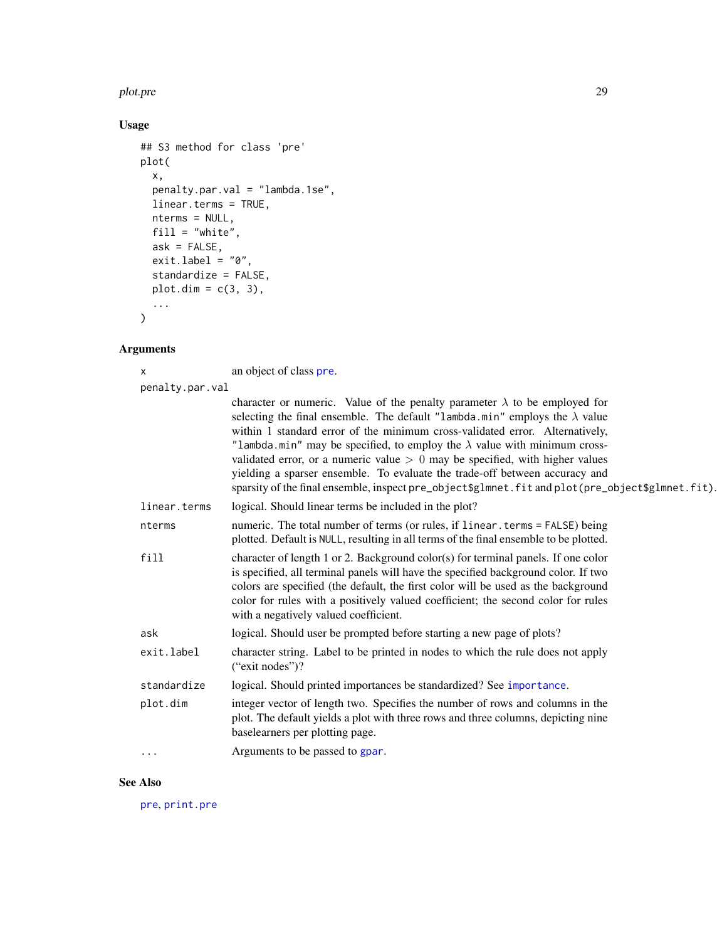#### <span id="page-28-0"></span>plot.pre 29

# Usage

```
## S3 method for class 'pre'
plot(
  x,
  penalty.par.val = "lambda.1se",
  linear.terms = TRUE,
  nterms = NULL,
 fill = "white",
  ask = FALSE,exit.label = "0",standardize = FALSE,
  plot.dim = c(3, 3),
  ...
\mathcal{L}
```
# Arguments

x an object of class [pre](#page-29-1).

| penalty.par.val |                                                                                                                                                                                                                                                                                                                                                                                                                                                                                                                                                                                                                  |  |  |  |  |
|-----------------|------------------------------------------------------------------------------------------------------------------------------------------------------------------------------------------------------------------------------------------------------------------------------------------------------------------------------------------------------------------------------------------------------------------------------------------------------------------------------------------------------------------------------------------------------------------------------------------------------------------|--|--|--|--|
|                 | character or numeric. Value of the penalty parameter $\lambda$ to be employed for<br>selecting the final ensemble. The default "lambda.min" employs the $\lambda$ value<br>within 1 standard error of the minimum cross-validated error. Alternatively,<br>"lambda.min" may be specified, to employ the $\lambda$ value with minimum cross-<br>validated error, or a numeric value $> 0$ may be specified, with higher values<br>yielding a sparser ensemble. To evaluate the trade-off between accuracy and<br>sparsity of the final ensemble, inspect pre_object\$glmnet.fit and plot(pre_object\$glmnet.fit). |  |  |  |  |
| linear.terms    | logical. Should linear terms be included in the plot?                                                                                                                                                                                                                                                                                                                                                                                                                                                                                                                                                            |  |  |  |  |
| nterms          | numeric. The total number of terms (or rules, if linear . terms = FALSE) being<br>plotted. Default is NULL, resulting in all terms of the final ensemble to be plotted.                                                                                                                                                                                                                                                                                                                                                                                                                                          |  |  |  |  |
| fill            | character of length 1 or 2. Background color(s) for terminal panels. If one color<br>is specified, all terminal panels will have the specified background color. If two<br>colors are specified (the default, the first color will be used as the background<br>color for rules with a positively valued coefficient; the second color for rules<br>with a negatively valued coefficient.                                                                                                                                                                                                                        |  |  |  |  |
| ask             | logical. Should user be prompted before starting a new page of plots?                                                                                                                                                                                                                                                                                                                                                                                                                                                                                                                                            |  |  |  |  |
| exit.label      | character string. Label to be printed in nodes to which the rule does not apply<br>("exit nodes")?                                                                                                                                                                                                                                                                                                                                                                                                                                                                                                               |  |  |  |  |
| standardize     | logical. Should printed importances be standardized? See importance.                                                                                                                                                                                                                                                                                                                                                                                                                                                                                                                                             |  |  |  |  |
| plot.dim        | integer vector of length two. Specifies the number of rows and columns in the<br>plot. The default yields a plot with three rows and three columns, depicting nine<br>baselearners per plotting page.                                                                                                                                                                                                                                                                                                                                                                                                            |  |  |  |  |
| $\cdots$        | Arguments to be passed to gpar.                                                                                                                                                                                                                                                                                                                                                                                                                                                                                                                                                                                  |  |  |  |  |

#### See Also

[pre](#page-29-1), [print.pre](#page-37-1)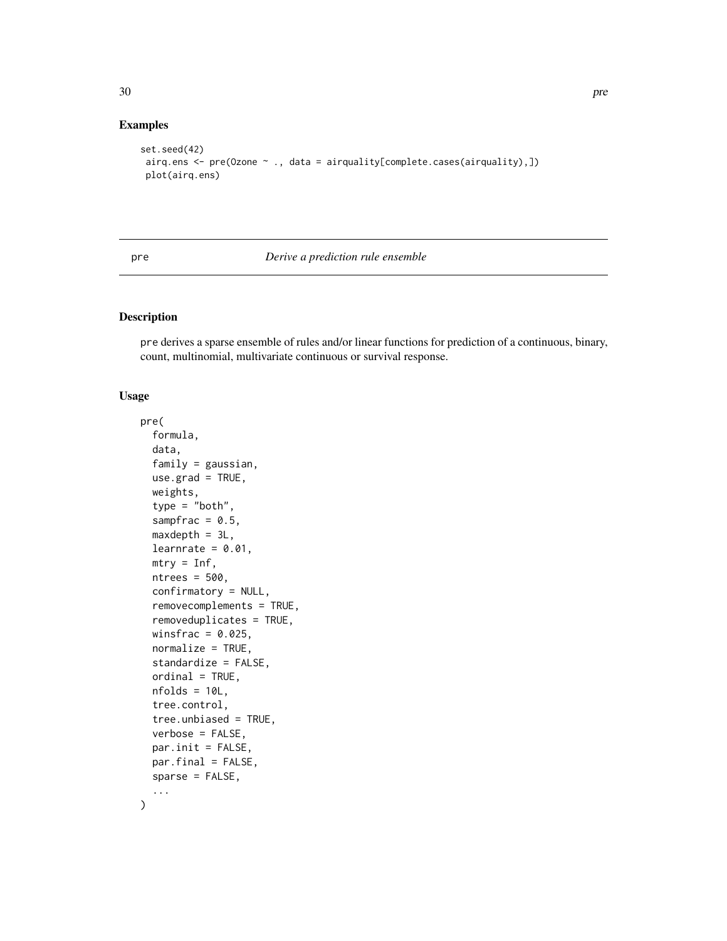# Examples

```
set.seed(42)
airq.ens <- pre(Ozone ~ ., data = airquality[complete.cases(airquality),])
plot(airq.ens)
```
<span id="page-29-1"></span>pre *Derive a prediction rule ensemble*

#### Description

pre derives a sparse ensemble of rules and/or linear functions for prediction of a continuous, binary, count, multinomial, multivariate continuous or survival response.

#### Usage

```
pre(
  formula,
  data,
  family = gaussian,
  use.grad = TRUE,
  weights,
  type = "both",sampfrac = 0.5,
  maxdepth = 3L,learnrate = 0.01,
  mtry = Inf,ntrees = 500,
  confirmatory = NULL,
  removecomplements = TRUE,
  removeduplicates = TRUE,
  winsfrac = 0.025,
  normalize = TRUE,
  standardize = FALSE,
  ordinal = TRUE,nfolds = 10L,
  tree.control,
  tree.unbiased = TRUE,
  verbose = FALSE,
  par.init = FALSE,par.final = FALSE,
  sparse = FALSE,
  ...
\mathcal{L}
```
<span id="page-29-0"></span>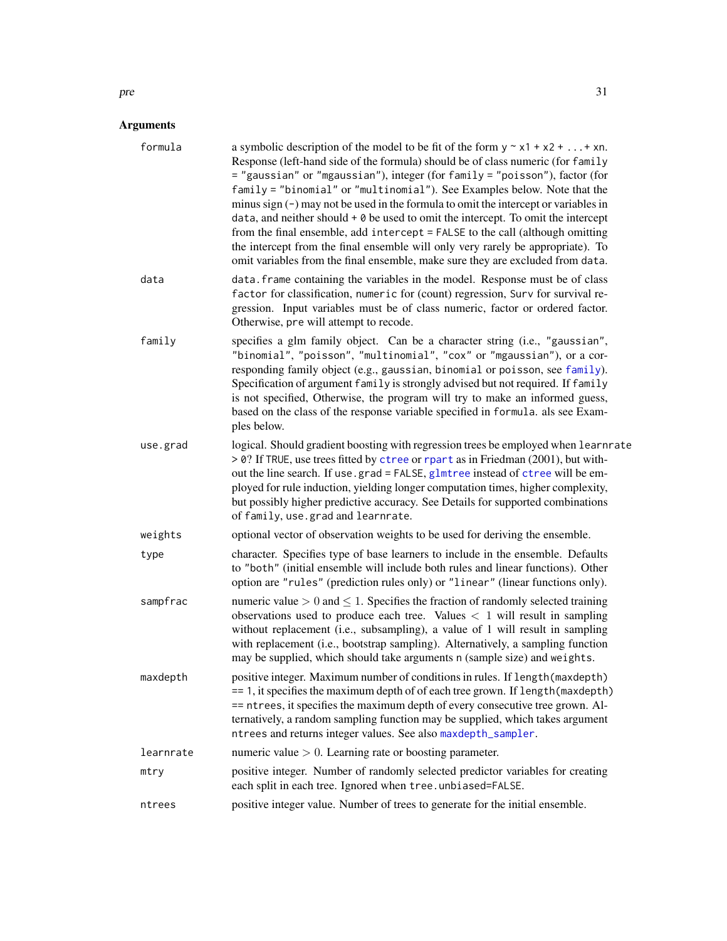<span id="page-30-0"></span>

| a symbolic description of the model to be fit of the form $y \sim x1 + x2 +  + xn$ .<br>Response (left-hand side of the formula) should be of class numeric (for family<br>= "gaussian" or "mgaussian"), integer (for family = "poisson"), factor (for<br>family = "binomial" or "multinomial"). See Examples below. Note that the<br>minus sign $(-)$ may not be used in the formula to omit the intercept or variables in<br>data, and neither should $+$ 0 be used to omit the intercept. To omit the intercept<br>from the final ensemble, add intercept = FALSE to the call (although omitting<br>the intercept from the final ensemble will only very rarely be appropriate). To<br>omit variables from the final ensemble, make sure they are excluded from data. |  |  |  |
|--------------------------------------------------------------------------------------------------------------------------------------------------------------------------------------------------------------------------------------------------------------------------------------------------------------------------------------------------------------------------------------------------------------------------------------------------------------------------------------------------------------------------------------------------------------------------------------------------------------------------------------------------------------------------------------------------------------------------------------------------------------------------|--|--|--|
| data. frame containing the variables in the model. Response must be of class<br>factor for classification, numeric for (count) regression, Surv for survival re-<br>gression. Input variables must be of class numeric, factor or ordered factor.<br>Otherwise, pre will attempt to recode.                                                                                                                                                                                                                                                                                                                                                                                                                                                                              |  |  |  |
| specifies a glm family object. Can be a character string (i.e., "gaussian",<br>"binomial", "poisson", "multinomial", "cox" or "mgaussian"), or a cor-<br>responding family object (e.g., gaussian, binomial or poisson, see family).<br>Specification of argument family is strongly advised but not required. If family<br>is not specified, Otherwise, the program will try to make an informed guess,<br>based on the class of the response variable specified in formula. als see Exam-<br>ples below.                                                                                                                                                                                                                                                               |  |  |  |
| logical. Should gradient boosting with regression trees be employed when learnrate<br>> 0? If TRUE, use trees fitted by ctree or rpart as in Friedman (2001), but with-<br>out the line search. If use.grad = FALSE, glmtree instead of ctree will be em-<br>ployed for rule induction, yielding longer computation times, higher complexity,<br>but possibly higher predictive accuracy. See Details for supported combinations<br>of family, use.grad and learnrate.                                                                                                                                                                                                                                                                                                   |  |  |  |
| optional vector of observation weights to be used for deriving the ensemble.                                                                                                                                                                                                                                                                                                                                                                                                                                                                                                                                                                                                                                                                                             |  |  |  |
| character. Specifies type of base learners to include in the ensemble. Defaults<br>to "both" (initial ensemble will include both rules and linear functions). Other<br>option are "rules" (prediction rules only) or "linear" (linear functions only).                                                                                                                                                                                                                                                                                                                                                                                                                                                                                                                   |  |  |  |
| numeric value $> 0$ and $\leq 1$ . Specifies the fraction of randomly selected training<br>observations used to produce each tree. Values $< 1$ will result in sampling<br>without replacement (i.e., subsampling), a value of 1 will result in sampling<br>with replacement (i.e., bootstrap sampling). Alternatively, a sampling function<br>may be supplied, which should take arguments n (sample size) and weights.                                                                                                                                                                                                                                                                                                                                                 |  |  |  |
| positive integer. Maximum number of conditions in rules. If length (maxdepth)<br>== 1, it specifies the maximum depth of of each tree grown. If length (maxdepth)<br>== ntrees, it specifies the maximum depth of every consecutive tree grown. Al-<br>ternatively, a random sampling function may be supplied, which takes argument<br>ntrees and returns integer values. See also maxdepth_sampler.                                                                                                                                                                                                                                                                                                                                                                    |  |  |  |
| numeric value $> 0$ . Learning rate or boosting parameter.                                                                                                                                                                                                                                                                                                                                                                                                                                                                                                                                                                                                                                                                                                               |  |  |  |
| positive integer. Number of randomly selected predictor variables for creating<br>each split in each tree. Ignored when tree.unbiased=FALSE.                                                                                                                                                                                                                                                                                                                                                                                                                                                                                                                                                                                                                             |  |  |  |
| positive integer value. Number of trees to generate for the initial ensemble.                                                                                                                                                                                                                                                                                                                                                                                                                                                                                                                                                                                                                                                                                            |  |  |  |
|                                                                                                                                                                                                                                                                                                                                                                                                                                                                                                                                                                                                                                                                                                                                                                          |  |  |  |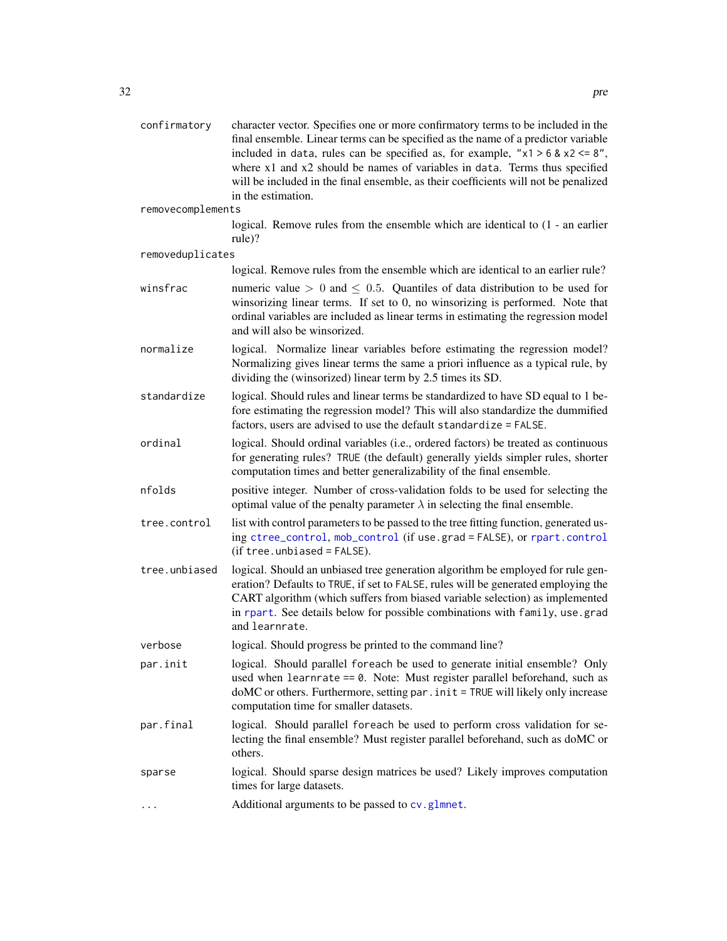<span id="page-31-0"></span>

| confirmatory      | character vector. Specifies one or more confirmatory terms to be included in the<br>final ensemble. Linear terms can be specified as the name of a predictor variable<br>included in data, rules can be specified as, for example, " $x1 > 6$ & $x2 < = 8$ ",<br>where x1 and x2 should be names of variables in data. Terms thus specified<br>will be included in the final ensemble, as their coefficients will not be penalized<br>in the estimation. |  |  |  |
|-------------------|----------------------------------------------------------------------------------------------------------------------------------------------------------------------------------------------------------------------------------------------------------------------------------------------------------------------------------------------------------------------------------------------------------------------------------------------------------|--|--|--|
| removecomplements |                                                                                                                                                                                                                                                                                                                                                                                                                                                          |  |  |  |
|                   | logical. Remove rules from the ensemble which are identical to $(1 - an earlier)$<br>rule)?                                                                                                                                                                                                                                                                                                                                                              |  |  |  |
| removeduplicates  |                                                                                                                                                                                                                                                                                                                                                                                                                                                          |  |  |  |
|                   | logical. Remove rules from the ensemble which are identical to an earlier rule?                                                                                                                                                                                                                                                                                                                                                                          |  |  |  |
| winsfrac          | numeric value $> 0$ and $\leq 0.5$ . Quantiles of data distribution to be used for<br>winsorizing linear terms. If set to 0, no winsorizing is performed. Note that<br>ordinal variables are included as linear terms in estimating the regression model<br>and will also be winsorized.                                                                                                                                                                 |  |  |  |
| normalize         | logical. Normalize linear variables before estimating the regression model?<br>Normalizing gives linear terms the same a priori influence as a typical rule, by<br>dividing the (winsorized) linear term by 2.5 times its SD.                                                                                                                                                                                                                            |  |  |  |
| standardize       | logical. Should rules and linear terms be standardized to have SD equal to 1 be-<br>fore estimating the regression model? This will also standardize the dummified<br>factors, users are advised to use the default standardize = FALSE.                                                                                                                                                                                                                 |  |  |  |
| ordinal           | logical. Should ordinal variables (i.e., ordered factors) be treated as continuous<br>for generating rules? TRUE (the default) generally yields simpler rules, shorter<br>computation times and better generalizability of the final ensemble.                                                                                                                                                                                                           |  |  |  |
| nfolds            | positive integer. Number of cross-validation folds to be used for selecting the<br>optimal value of the penalty parameter $\lambda$ in selecting the final ensemble.                                                                                                                                                                                                                                                                                     |  |  |  |
| tree.control      | list with control parameters to be passed to the tree fitting function, generated us-<br>ing ctree_control, mob_control (if use.grad = FALSE), or rpart.control<br>$(if tree. unbiased = FALSE).$                                                                                                                                                                                                                                                        |  |  |  |
| tree.unbiased     | logical. Should an unbiased tree generation algorithm be employed for rule gen-<br>eration? Defaults to TRUE, if set to FALSE, rules will be generated employing the<br>CART algorithm (which suffers from biased variable selection) as implemented<br>in rpart. See details below for possible combinations with family, use grad<br>and learnrate.                                                                                                    |  |  |  |
| verbose           | logical. Should progress be printed to the command line?                                                                                                                                                                                                                                                                                                                                                                                                 |  |  |  |
| par.init          | logical. Should parallel foreach be used to generate initial ensemble? Only<br>used when learnrate $== 0$ . Note: Must register parallel beforehand, such as<br>doMC or others. Furthermore, setting par . init = TRUE will likely only increase<br>computation time for smaller datasets.                                                                                                                                                               |  |  |  |
| par.final         | logical. Should parallel foreach be used to perform cross validation for se-<br>lecting the final ensemble? Must register parallel beforehand, such as doMC or<br>others.                                                                                                                                                                                                                                                                                |  |  |  |
| sparse            | logical. Should sparse design matrices be used? Likely improves computation<br>times for large datasets.                                                                                                                                                                                                                                                                                                                                                 |  |  |  |
|                   | Additional arguments to be passed to cv.glmnet.                                                                                                                                                                                                                                                                                                                                                                                                          |  |  |  |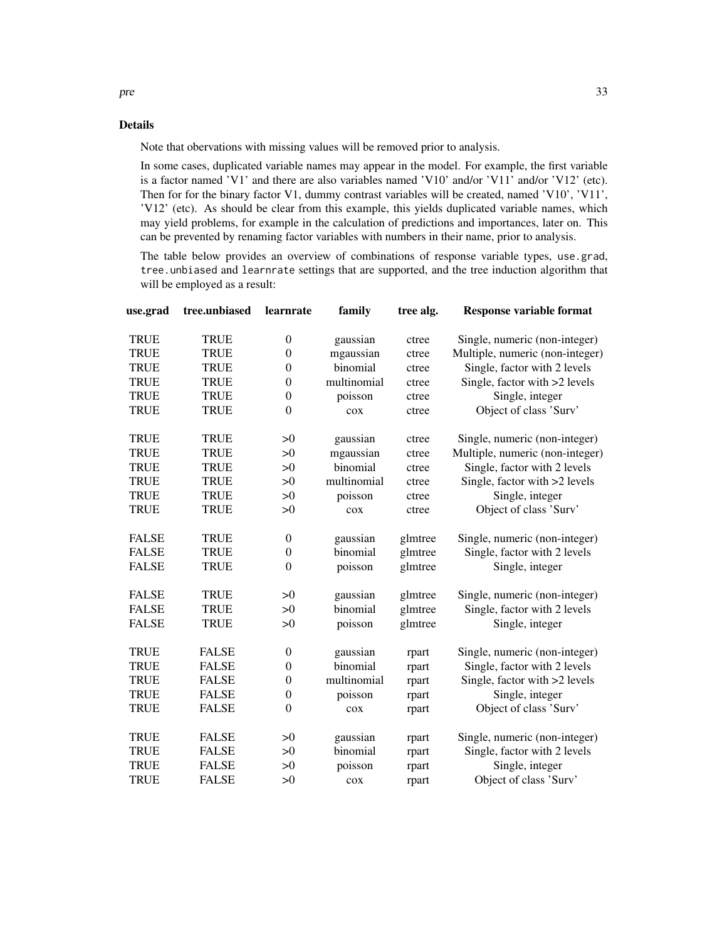### Details

Note that obervations with missing values will be removed prior to analysis.

In some cases, duplicated variable names may appear in the model. For example, the first variable is a factor named 'V1' and there are also variables named 'V10' and/or 'V11' and/or 'V12' (etc). Then for for the binary factor V1, dummy contrast variables will be created, named 'V10', 'V11', 'V12' (etc). As should be clear from this example, this yields duplicated variable names, which may yield problems, for example in the calculation of predictions and importances, later on. This can be prevented by renaming factor variables with numbers in their name, prior to analysis.

The table below provides an overview of combinations of response variable types, use.grad, tree.unbiased and learnrate settings that are supported, and the tree induction algorithm that will be employed as a result:

| use.grad     | tree.unbiased | learnrate        | family      | tree alg. | <b>Response variable format</b> |
|--------------|---------------|------------------|-------------|-----------|---------------------------------|
| <b>TRUE</b>  | <b>TRUE</b>   | $\boldsymbol{0}$ | gaussian    | ctree     | Single, numeric (non-integer)   |
| <b>TRUE</b>  | <b>TRUE</b>   | $\overline{0}$   | mgaussian   | ctree     | Multiple, numeric (non-integer) |
| <b>TRUE</b>  | <b>TRUE</b>   | $\boldsymbol{0}$ | binomial    | ctree     | Single, factor with 2 levels    |
| <b>TRUE</b>  | <b>TRUE</b>   | $\boldsymbol{0}$ | multinomial | ctree     | Single, factor with >2 levels   |
| <b>TRUE</b>  | <b>TRUE</b>   | $\boldsymbol{0}$ | poisson     | ctree     | Single, integer                 |
| <b>TRUE</b>  | <b>TRUE</b>   | $\overline{0}$   | cox         | ctree     | Object of class 'Surv'          |
| <b>TRUE</b>  | <b>TRUE</b>   | >0               | gaussian    | ctree     | Single, numeric (non-integer)   |
| <b>TRUE</b>  | <b>TRUE</b>   | >0               | mgaussian   | ctree     | Multiple, numeric (non-integer) |
| <b>TRUE</b>  | <b>TRUE</b>   | >0               | binomial    | ctree     | Single, factor with 2 levels    |
| <b>TRUE</b>  | <b>TRUE</b>   | >0               | multinomial | ctree     | Single, factor with >2 levels   |
| <b>TRUE</b>  | <b>TRUE</b>   | >0               | poisson     | ctree     | Single, integer                 |
| <b>TRUE</b>  | <b>TRUE</b>   | >0               | cox         | ctree     | Object of class 'Surv'          |
| <b>FALSE</b> | <b>TRUE</b>   | $\boldsymbol{0}$ | gaussian    | glmtree   | Single, numeric (non-integer)   |
| <b>FALSE</b> | <b>TRUE</b>   | $\boldsymbol{0}$ | binomial    | glmtree   | Single, factor with 2 levels    |
| <b>FALSE</b> | <b>TRUE</b>   | $\mathbf{0}$     | poisson     | glmtree   | Single, integer                 |
| <b>FALSE</b> | <b>TRUE</b>   | >0               | gaussian    | glmtree   | Single, numeric (non-integer)   |
| <b>FALSE</b> | <b>TRUE</b>   | >0               | binomial    | glmtree   | Single, factor with 2 levels    |
| <b>FALSE</b> | <b>TRUE</b>   | >0               | poisson     | glmtree   | Single, integer                 |
| <b>TRUE</b>  | <b>FALSE</b>  | $\boldsymbol{0}$ | gaussian    | rpart     | Single, numeric (non-integer)   |
| <b>TRUE</b>  | <b>FALSE</b>  | $\boldsymbol{0}$ | binomial    | rpart     | Single, factor with 2 levels    |
| <b>TRUE</b>  | <b>FALSE</b>  | $\boldsymbol{0}$ | multinomial | rpart     | Single, factor with >2 levels   |
| <b>TRUE</b>  | <b>FALSE</b>  | $\boldsymbol{0}$ | poisson     | rpart     | Single, integer                 |
| <b>TRUE</b>  | <b>FALSE</b>  | $\overline{0}$   | cox         | rpart     | Object of class 'Surv'          |
| <b>TRUE</b>  | <b>FALSE</b>  | >0               | gaussian    | rpart     | Single, numeric (non-integer)   |
| <b>TRUE</b>  | <b>FALSE</b>  | >0               | binomial    | rpart     | Single, factor with 2 levels    |
| <b>TRUE</b>  | <b>FALSE</b>  | >0               | poisson     | rpart     | Single, integer                 |
| <b>TRUE</b>  | <b>FALSE</b>  | >0               | cox         | rpart     | Object of class 'Surv'          |

pre 33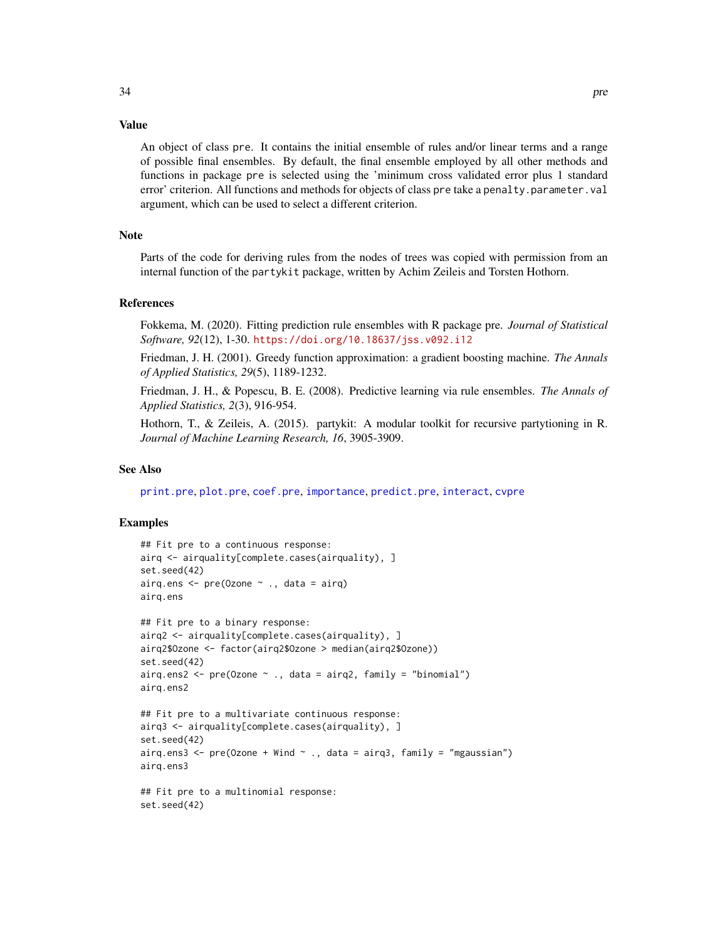<span id="page-33-0"></span>An object of class pre. It contains the initial ensemble of rules and/or linear terms and a range of possible final ensembles. By default, the final ensemble employed by all other methods and functions in package pre is selected using the 'minimum cross validated error plus 1 standard error' criterion. All functions and methods for objects of class pre take a penalty.parameter.val argument, which can be used to select a different criterion.

#### **Note**

Parts of the code for deriving rules from the nodes of trees was copied with permission from an internal function of the partykit package, written by Achim Zeileis and Torsten Hothorn.

#### References

Fokkema, M. (2020). Fitting prediction rule ensembles with R package pre. *Journal of Statistical Software, 92*(12), 1-30. <https://doi.org/10.18637/jss.v092.i12>

Friedman, J. H. (2001). Greedy function approximation: a gradient boosting machine. *The Annals of Applied Statistics, 29*(5), 1189-1232.

Friedman, J. H., & Popescu, B. E. (2008). Predictive learning via rule ensembles. *The Annals of Applied Statistics, 2*(3), 916-954.

Hothorn, T., & Zeileis, A. (2015). partykit: A modular toolkit for recursive partytioning in R. *Journal of Machine Learning Research, 16*, 3905-3909.

#### See Also

[print.pre](#page-37-1), [plot.pre](#page-27-1), [coef.pre](#page-6-1), [importance](#page-19-1), [predict.pre](#page-35-1), [interact](#page-22-1), [cvpre](#page-9-1)

```
## Fit pre to a continuous response:
airq <- airquality[complete.cases(airquality), ]
set.seed(42)
airq.ens \leq pre(Ozone \sim ., data = airq)
airq.ens
## Fit pre to a binary response:
airq2 <- airquality[complete.cases(airquality), ]
airq2$Ozone <- factor(airq2$Ozone > median(airq2$Ozone))
set.seed(42)
airq.ens2 \leq pre(Ozone \leq., data = airq2, family = "binomial")
airq.ens2
## Fit pre to a multivariate continuous response:
airq3 <- airquality[complete.cases(airquality), ]
set.seed(42)
airq.ens3 <- pre(Ozone + Wind \sim ., data = airq3, family = "mgaussian")
airq.ens3
## Fit pre to a multinomial response:
set.seed(42)
```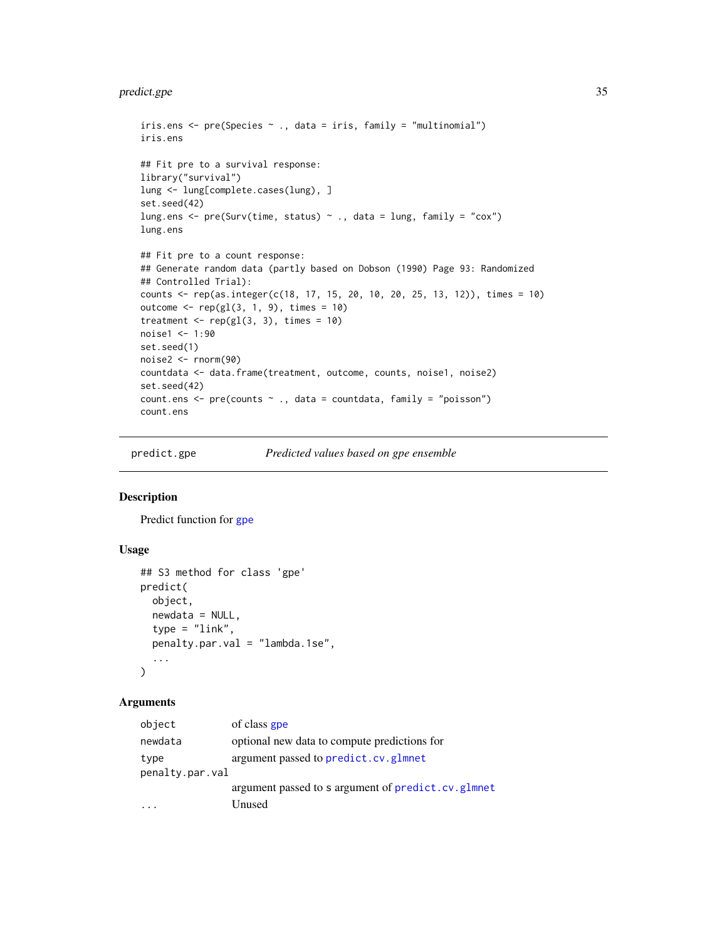# <span id="page-34-0"></span>predict.gpe 35

```
iris.ens \leq pre(Species \leq ., data = iris, family = "multinomial")
iris.ens
## Fit pre to a survival response:
library("survival")
lung <- lung[complete.cases(lung), ]
set.seed(42)
lung.ens <- pre(Surv(time, status) \sim ., data = lung, family = "cox")
lung.ens
## Fit pre to a count response:
## Generate random data (partly based on Dobson (1990) Page 93: Randomized
## Controlled Trial):
counts <- rep(as.integer(c(18, 17, 15, 20, 10, 20, 25, 13, 12)), times = 10)
outcome \leq rep(gl(3, 1, 9), times = 10)
treatment \leq rep(gl(3, 3), times = 10)
noise1 <- 1:90
set.seed(1)
noise2 <- rnorm(90)
countdata <- data.frame(treatment, outcome, counts, noise1, noise2)
set.seed(42)
count.ens <- pre(counts ~ ., data = countdata, family = "poisson")
count.ens
```
<span id="page-34-1"></span>

predict.gpe *Predicted values based on gpe ensemble*

# Description

Predict function for [gpe](#page-13-1)

# Usage

```
## S3 method for class 'gpe'
predict(
 object,
 newdata = NULL,
  type = "link",penalty.par.val = "lambda.1se",
  ...
\lambda
```

| of class gpe                                            |
|---------------------------------------------------------|
| optional new data to compute predictions for            |
| argument passed to predict.cv.glmnet<br>penalty.par.val |
| argument passed to s argument of predict.cv.glmnet      |
| Unused                                                  |
|                                                         |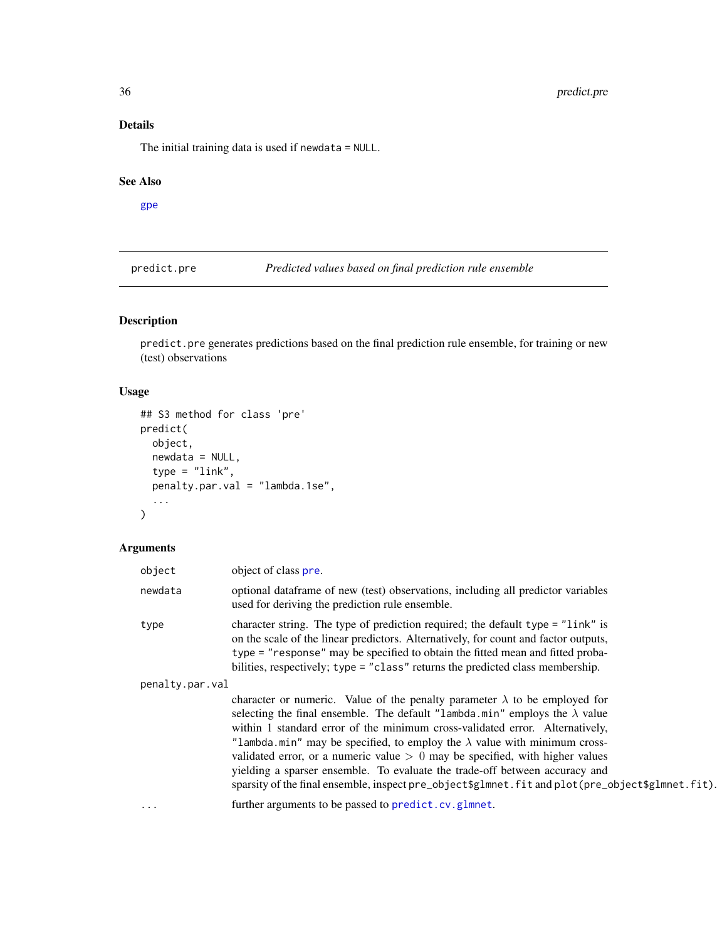# Details

The initial training data is used if newdata = NULL.

#### See Also

[gpe](#page-13-1)

<span id="page-35-1"></span>predict.pre *Predicted values based on final prediction rule ensemble*

# Description

predict.pre generates predictions based on the final prediction rule ensemble, for training or new (test) observations

# Usage

```
## S3 method for class 'pre'
predict(
 object,
 newdata = NULL,
  type = "link",
 penalty.par.val = "lambda.1se",
  ...
)
```

| object          | object of class pre.                                                                                                                                                                                                                                                                                                                                                                                                                                                                                                                                                                                             |
|-----------------|------------------------------------------------------------------------------------------------------------------------------------------------------------------------------------------------------------------------------------------------------------------------------------------------------------------------------------------------------------------------------------------------------------------------------------------------------------------------------------------------------------------------------------------------------------------------------------------------------------------|
| newdata         | optional data frame of new (test) observations, including all predictor variables<br>used for deriving the prediction rule ensemble.                                                                                                                                                                                                                                                                                                                                                                                                                                                                             |
| type            | character string. The type of prediction required; the default type = "link" is<br>on the scale of the linear predictors. Alternatively, for count and factor outputs,<br>type = "response" may be specified to obtain the fitted mean and fitted proba-<br>bilities, respectively; type = "class" returns the predicted class membership.                                                                                                                                                                                                                                                                       |
| penalty.par.val |                                                                                                                                                                                                                                                                                                                                                                                                                                                                                                                                                                                                                  |
|                 | character or numeric. Value of the penalty parameter $\lambda$ to be employed for<br>selecting the final ensemble. The default "lambda.min" employs the $\lambda$ value<br>within 1 standard error of the minimum cross-validated error. Alternatively,<br>"lambda.min" may be specified, to employ the $\lambda$ value with minimum cross-<br>validated error, or a numeric value $> 0$ may be specified, with higher values<br>yielding a sparser ensemble. To evaluate the trade-off between accuracy and<br>sparsity of the final ensemble, inspect pre_object\$glmnet.fit and plot(pre_object\$glmnet.fit). |
| $\cdots$        | further arguments to be passed to predict.cv.glmnet.                                                                                                                                                                                                                                                                                                                                                                                                                                                                                                                                                             |
|                 |                                                                                                                                                                                                                                                                                                                                                                                                                                                                                                                                                                                                                  |

<span id="page-35-0"></span>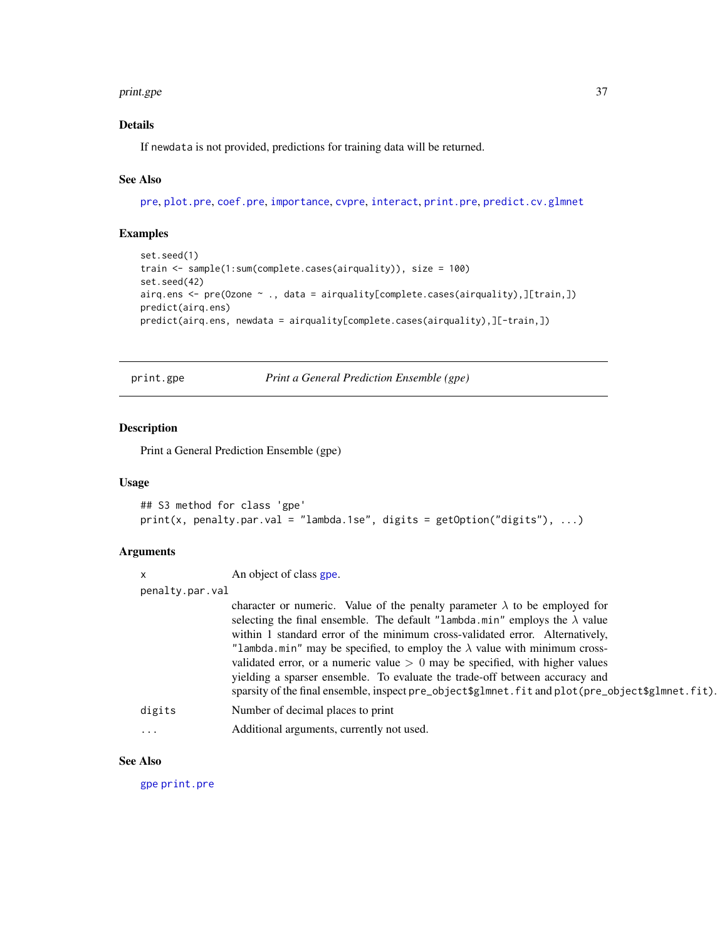#### <span id="page-36-0"></span>print.gpe 37

# Details

If newdata is not provided, predictions for training data will be returned.

# See Also

[pre](#page-29-1), [plot.pre](#page-27-1), [coef.pre](#page-6-1), [importance](#page-19-1), [cvpre](#page-9-1), [interact](#page-22-1), [print.pre](#page-37-1), [predict.cv.glmnet](#page-0-0)

# Examples

```
set.seed(1)
train <- sample(1:sum(complete.cases(airquality)), size = 100)
set.seed(42)
airq.ens <- pre(Ozone ~ ., data = airquality[complete.cases(airquality),][train,])
predict(airq.ens)
predict(airq.ens, newdata = airquality[complete.cases(airquality),][-train,])
```
<span id="page-36-1"></span>print.gpe *Print a General Prediction Ensemble (gpe)*

#### Description

Print a General Prediction Ensemble (gpe)

#### Usage

```
## S3 method for class 'gpe'
print(x, penalty.par.val = "lambda.1se", digits = getOption("digits"), ...)
```
#### Arguments

| $\mathsf{x}$    | An object of class gpe.                                                                                                                                                                                                                                                                                                                                                                                                                                                                                                                                                                                          |  |
|-----------------|------------------------------------------------------------------------------------------------------------------------------------------------------------------------------------------------------------------------------------------------------------------------------------------------------------------------------------------------------------------------------------------------------------------------------------------------------------------------------------------------------------------------------------------------------------------------------------------------------------------|--|
| penalty.par.val |                                                                                                                                                                                                                                                                                                                                                                                                                                                                                                                                                                                                                  |  |
|                 | character or numeric. Value of the penalty parameter $\lambda$ to be employed for<br>selecting the final ensemble. The default "lambda.min" employs the $\lambda$ value<br>within 1 standard error of the minimum cross-validated error. Alternatively,<br>"lambda.min" may be specified, to employ the $\lambda$ value with minimum cross-<br>validated error, or a numeric value $> 0$ may be specified, with higher values<br>yielding a sparser ensemble. To evaluate the trade-off between accuracy and<br>sparsity of the final ensemble, inspect pre_object\$g1mnet.fit and plot(pre_object\$g1mnet.fit). |  |
| digits          | Number of decimal places to print                                                                                                                                                                                                                                                                                                                                                                                                                                                                                                                                                                                |  |
| .               | Additional arguments, currently not used.                                                                                                                                                                                                                                                                                                                                                                                                                                                                                                                                                                        |  |

# See Also

[gpe](#page-13-1) [print.pre](#page-37-1)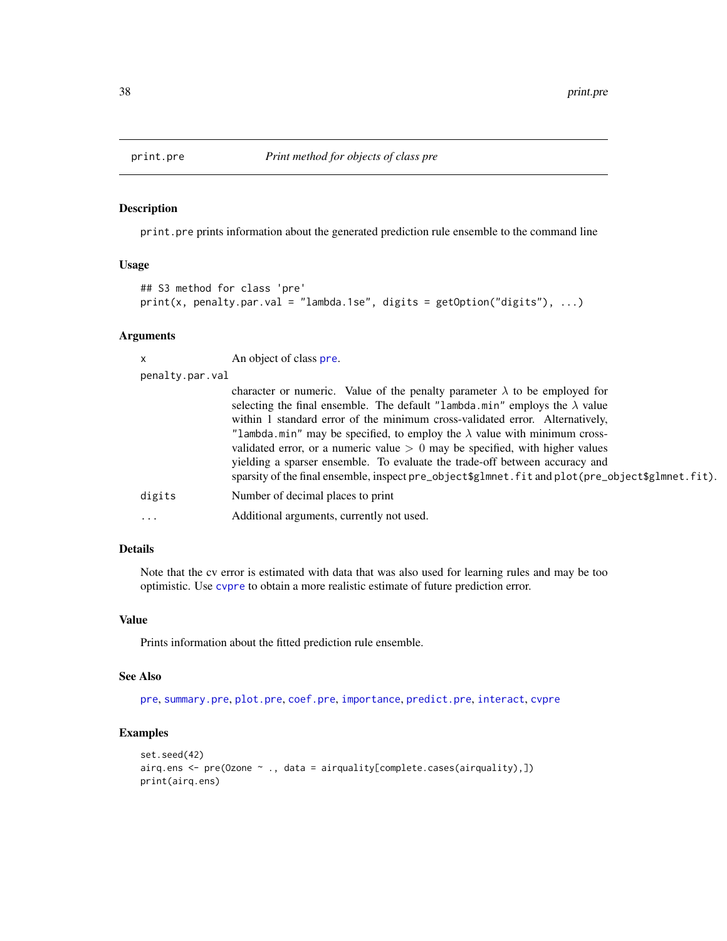<span id="page-37-1"></span><span id="page-37-0"></span>

print.pre prints information about the generated prediction rule ensemble to the command line

#### Usage

```
## S3 method for class 'pre'
print(x, penalty, par.val = "lambda.1se", digits = getOption("digits"), ...)
```
#### **Arguments**

x An object of class [pre](#page-29-1). penalty.par.val character or numeric. Value of the penalty parameter  $\lambda$  to be employed for selecting the final ensemble. The default "lambda.min" employs the  $\lambda$  value within 1 standard error of the minimum cross-validated error. Alternatively, "lambda.min" may be specified, to employ the  $\lambda$  value with minimum crossvalidated error, or a numeric value  $> 0$  may be specified, with higher values yielding a sparser ensemble. To evaluate the trade-off between accuracy and sparsity of the final ensemble, inspect pre\_object\$glmnet.fit and plot(pre\_object\$glmnet.fit). digits Number of decimal places to print ... Additional arguments, currently not used.

# Details

Note that the cv error is estimated with data that was also used for learning rules and may be too optimistic. Use [cvpre](#page-9-1) to obtain a more realistic estimate of future prediction error.

#### Value

Prints information about the fitted prediction rule ensemble.

#### See Also

[pre](#page-29-1), [summary.pre](#page-42-1), [plot.pre](#page-27-1), [coef.pre](#page-6-1), [importance](#page-19-1), [predict.pre](#page-35-1), [interact](#page-22-1), [cvpre](#page-9-1)

```
set.seed(42)
airq.ens <- pre(Ozone ~ ., data = airquality[complete.cases(airquality),])
print(airq.ens)
```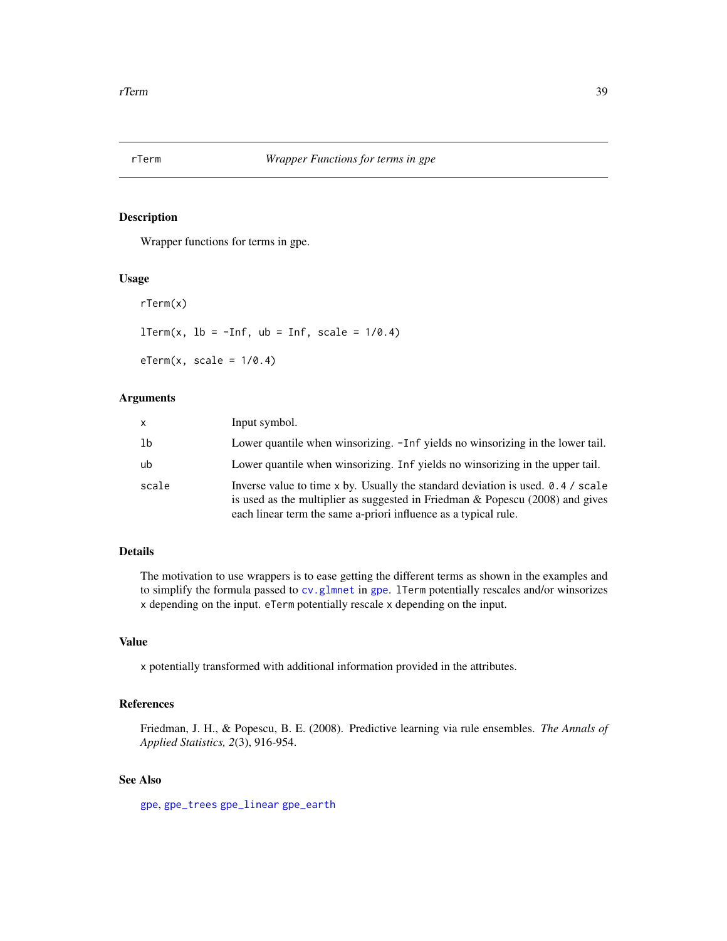<span id="page-38-2"></span><span id="page-38-1"></span><span id="page-38-0"></span>

Wrapper functions for terms in gpe.

#### Usage

rTerm(x)  $lTerm(x, lb = -Inf, ub = Inf, scale = 1/0.4)$ 

 $eTerm(x, scale = 1/0.4)$ 

# Arguments

| X     | Input symbol.                                                                                                                                                                                                                         |
|-------|---------------------------------------------------------------------------------------------------------------------------------------------------------------------------------------------------------------------------------------|
| 1b    | Lower quantile when winsorizing. -Inf yields no winsorizing in the lower tail.                                                                                                                                                        |
| ub    | Lower quantile when winsorizing. Inf yields no winsorizing in the upper tail.                                                                                                                                                         |
| scale | Inverse value to time x by. Usually the standard deviation is used. 0.4 / scale<br>is used as the multiplier as suggested in Friedman & Popescu $(2008)$ and gives<br>each linear term the same a-priori influence as a typical rule. |

# Details

The motivation to use wrappers is to ease getting the different terms as shown in the examples and to simplify the formula passed to [cv.glmnet](#page-0-0) in [gpe](#page-13-1). lTerm potentially rescales and/or winsorizes x depending on the input. eTerm potentially rescale x depending on the input.

# Value

x potentially transformed with additional information provided in the attributes.

# References

Friedman, J. H., & Popescu, B. E. (2008). Predictive learning via rule ensembles. *The Annals of Applied Statistics, 2*(3), 916-954.

# See Also

[gpe](#page-13-1), [gpe\\_trees](#page-17-2) [gpe\\_linear](#page-17-1) [gpe\\_earth](#page-17-1)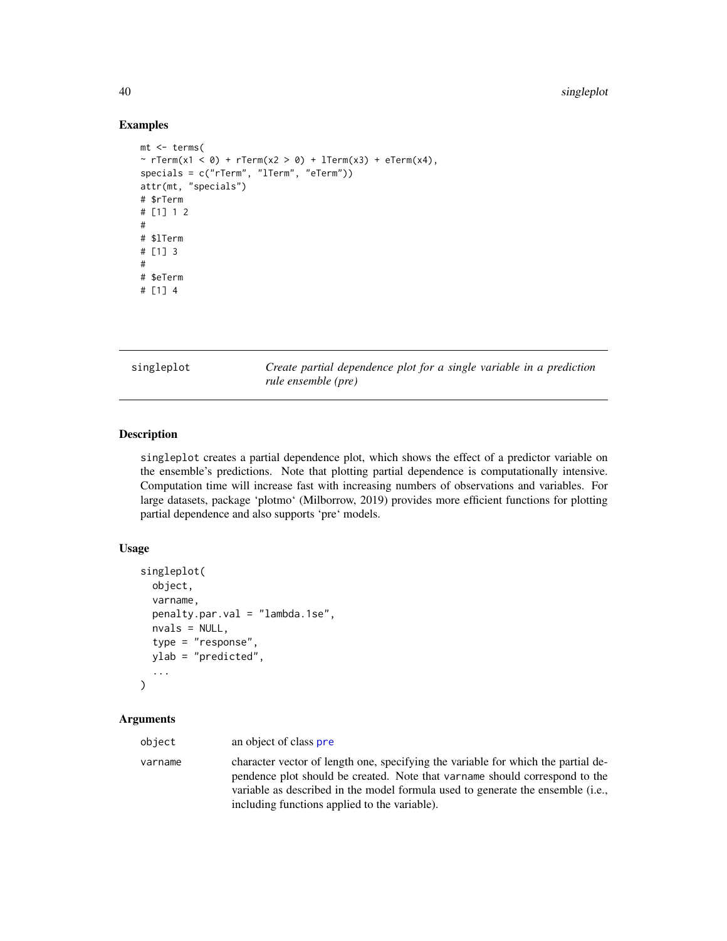# Examples

```
mt <- terms(
~ rTerm(x1 < 0) + rTerm(x2 > 0) + lTerm(x3) + eTerm(x4),
specials = c("rTerm", "lTerm", "eTerm"))
attr(mt, "specials")
# $rTerm
# [1] 1 2
#
# $lTerm
# [1] 3
#
# $eTerm
# [1] 4
```
<span id="page-39-1"></span>singleplot *Create partial dependence plot for a single variable in a prediction rule ensemble (pre)*

# Description

singleplot creates a partial dependence plot, which shows the effect of a predictor variable on the ensemble's predictions. Note that plotting partial dependence is computationally intensive. Computation time will increase fast with increasing numbers of observations and variables. For large datasets, package 'plotmo' (Milborrow, 2019) provides more efficient functions for plotting partial dependence and also supports 'pre' models.

# Usage

```
singleplot(
  object,
  varname,
  penalty.par.val = "lambda.1se",
  nvals = NULL,
  type = "response",
 ylab = "predicted",
  ...
\mathcal{E}
```

| object  | an object of class pre                                                                                                                                                                                                                                                                               |
|---------|------------------------------------------------------------------------------------------------------------------------------------------------------------------------------------------------------------------------------------------------------------------------------------------------------|
| varname | character vector of length one, specifying the variable for which the partial de-<br>pendence plot should be created. Note that varname should correspond to the<br>variable as described in the model formula used to generate the ensemble (i.e.,<br>including functions applied to the variable). |

<span id="page-39-0"></span>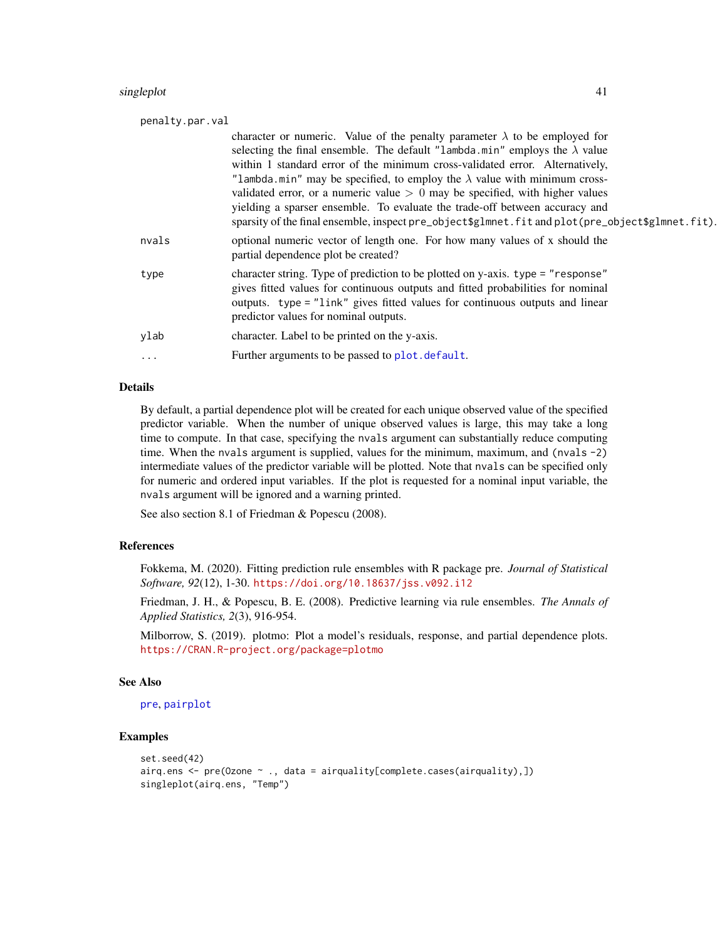#### <span id="page-40-0"></span>singleplot that the same single-plot that the same single-plot that the same single-plot that the same single-plot

| penalty.par.val |                                                                                                                                                                                                                                                                                                                                                                                                                                                                                                                                                                                                                  |  |
|-----------------|------------------------------------------------------------------------------------------------------------------------------------------------------------------------------------------------------------------------------------------------------------------------------------------------------------------------------------------------------------------------------------------------------------------------------------------------------------------------------------------------------------------------------------------------------------------------------------------------------------------|--|
|                 | character or numeric. Value of the penalty parameter $\lambda$ to be employed for<br>selecting the final ensemble. The default "lambda.min" employs the $\lambda$ value<br>within 1 standard error of the minimum cross-validated error. Alternatively,<br>"lambda.min" may be specified, to employ the $\lambda$ value with minimum cross-<br>validated error, or a numeric value $> 0$ may be specified, with higher values<br>yielding a sparser ensemble. To evaluate the trade-off between accuracy and<br>sparsity of the final ensemble, inspect pre_object\$g1mnet.fit and plot(pre_object\$g1mnet.fit). |  |
| nvals           | optional numeric vector of length one. For how many values of x should the<br>partial dependence plot be created?                                                                                                                                                                                                                                                                                                                                                                                                                                                                                                |  |
| type            | character string. Type of prediction to be plotted on y-axis. type = "response"<br>gives fitted values for continuous outputs and fitted probabilities for nominal<br>outputs. type = "link" gives fitted values for continuous outputs and linear<br>predictor values for nominal outputs.                                                                                                                                                                                                                                                                                                                      |  |
| ylab            | character. Label to be printed on the y-axis.                                                                                                                                                                                                                                                                                                                                                                                                                                                                                                                                                                    |  |
| .               | Further arguments to be passed to plot. default.                                                                                                                                                                                                                                                                                                                                                                                                                                                                                                                                                                 |  |
|                 |                                                                                                                                                                                                                                                                                                                                                                                                                                                                                                                                                                                                                  |  |

# Details

By default, a partial dependence plot will be created for each unique observed value of the specified predictor variable. When the number of unique observed values is large, this may take a long time to compute. In that case, specifying the nvals argument can substantially reduce computing time. When the nvals argument is supplied, values for the minimum, maximum, and (nvals -2) intermediate values of the predictor variable will be plotted. Note that nvals can be specified only for numeric and ordered input variables. If the plot is requested for a nominal input variable, the nvals argument will be ignored and a warning printed.

See also section 8.1 of Friedman & Popescu (2008).

#### References

Fokkema, M. (2020). Fitting prediction rule ensembles with R package pre. *Journal of Statistical Software, 92*(12), 1-30. <https://doi.org/10.18637/jss.v092.i12>

Friedman, J. H., & Popescu, B. E. (2008). Predictive learning via rule ensembles. *The Annals of Applied Statistics, 2*(3), 916-954.

Milborrow, S. (2019). plotmo: Plot a model's residuals, response, and partial dependence plots. <https://CRAN.R-project.org/package=plotmo>

# See Also

# [pre](#page-29-1), [pairplot](#page-25-1)

```
set.seed(42)
airq.ens <- pre(Ozone ~ ., data = airquality[complete.cases(airquality),])
singleplot(airq.ens, "Temp")
```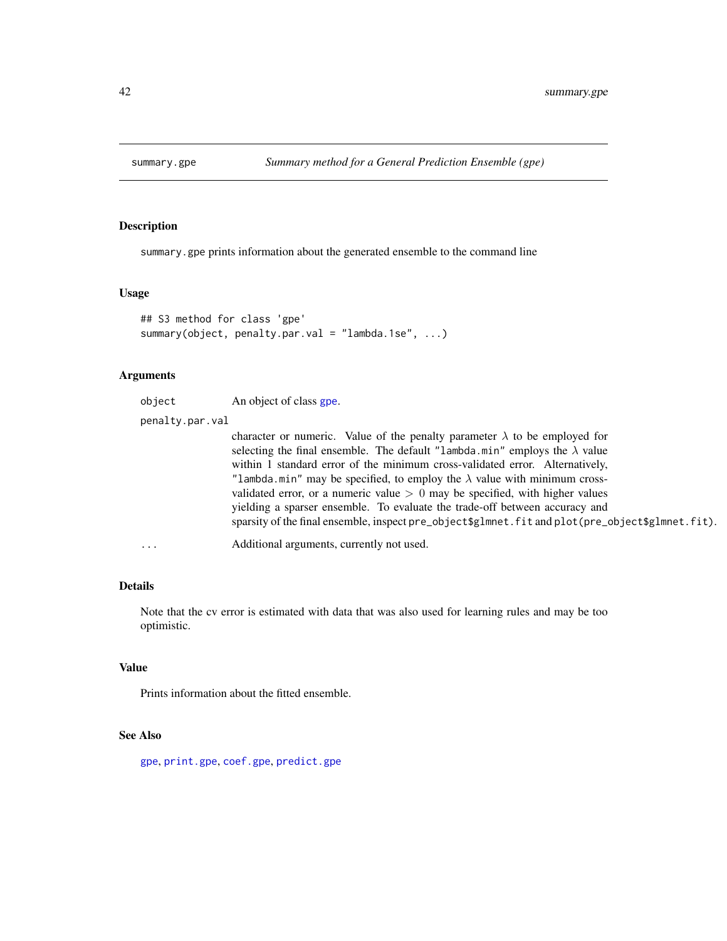<span id="page-41-0"></span>

summary.gpe prints information about the generated ensemble to the command line

### Usage

```
## S3 method for class 'gpe'
summary(object, penalty.par.val = "lambda.1se", ...)
```
# Arguments

| object          | An object of class gpe.                                                                                                                                                                                                                                                                                                                                                                                                                                                                                      |
|-----------------|--------------------------------------------------------------------------------------------------------------------------------------------------------------------------------------------------------------------------------------------------------------------------------------------------------------------------------------------------------------------------------------------------------------------------------------------------------------------------------------------------------------|
| penalty.par.val |                                                                                                                                                                                                                                                                                                                                                                                                                                                                                                              |
|                 | character or numeric. Value of the penalty parameter $\lambda$ to be employed for<br>selecting the final ensemble. The default "lambda.min" employs the $\lambda$ value<br>within 1 standard error of the minimum cross-validated error. Alternatively,<br>"lambda.min" may be specified, to employ the $\lambda$ value with minimum cross-<br>validated error, or a numeric value $> 0$ may be specified, with higher values<br>yielding a sparser ensemble. To evaluate the trade-off between accuracy and |
| $\ddotsc$       | sparsity of the final ensemble, inspect pre_object\$glmnet.fit and plot(pre_object\$glmnet.fit).<br>Additional arguments, currently not used.                                                                                                                                                                                                                                                                                                                                                                |

# Details

Note that the cv error is estimated with data that was also used for learning rules and may be too optimistic.

### Value

Prints information about the fitted ensemble.

# See Also

[gpe](#page-13-1), [print.gpe](#page-36-1), [coef.gpe](#page-6-2), [predict.gpe](#page-34-1)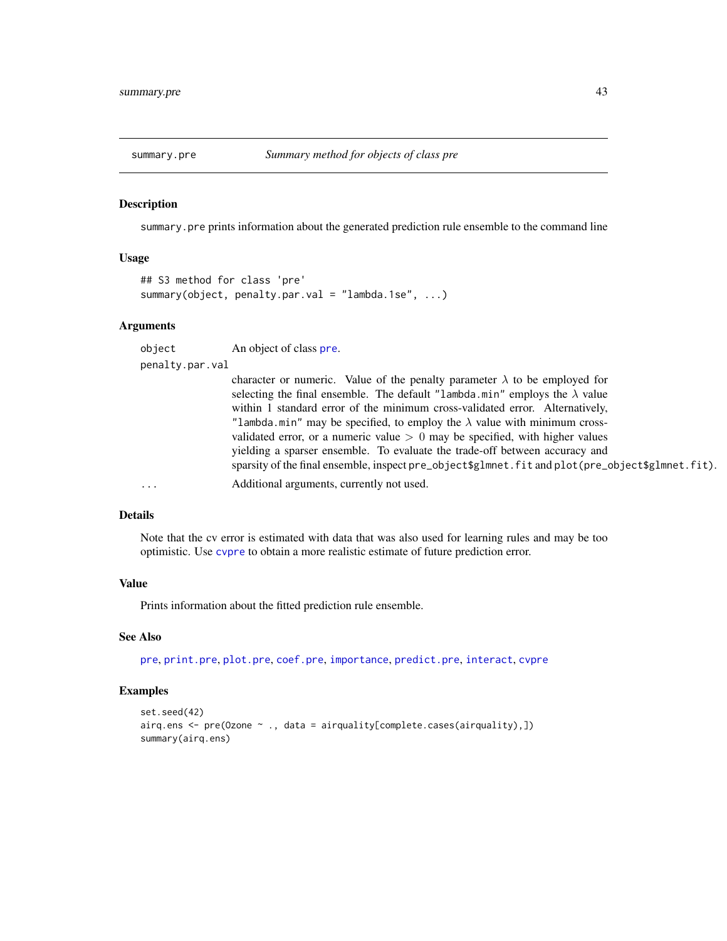<span id="page-42-1"></span><span id="page-42-0"></span>

summary.pre prints information about the generated prediction rule ensemble to the command line

#### Usage

```
## S3 method for class 'pre'
summary(object, penalty.par.val = "lambda.1se", ...)
```
# Arguments

object An object of class [pre](#page-29-1).

penalty.par.val

|          | character or numeric. Value of the penalty parameter $\lambda$ to be employed for                |
|----------|--------------------------------------------------------------------------------------------------|
|          | selecting the final ensemble. The default "lambda.min" employs the $\lambda$ value               |
|          | within 1 standard error of the minimum cross-validated error. Alternatively,                     |
|          | "lambda.min" may be specified, to employ the $\lambda$ value with minimum cross-                 |
|          | validated error, or a numeric value $> 0$ may be specified, with higher values                   |
|          | yielding a sparser ensemble. To evaluate the trade-off between accuracy and                      |
|          | sparsity of the final ensemble, inspect pre_object\$glmnet.fit and plot(pre_object\$glmnet.fit). |
| $\cdots$ | Additional arguments, currently not used.                                                        |
|          |                                                                                                  |

# Details

Note that the cv error is estimated with data that was also used for learning rules and may be too optimistic. Use [cvpre](#page-9-1) to obtain a more realistic estimate of future prediction error.

# Value

Prints information about the fitted prediction rule ensemble.

#### See Also

[pre](#page-29-1), [print.pre](#page-37-1), [plot.pre](#page-27-1), [coef.pre](#page-6-1), [importance](#page-19-1), [predict.pre](#page-35-1), [interact](#page-22-1), [cvpre](#page-9-1)

```
set.seed(42)
airq.ens <- pre(Ozone ~ ., data = airquality[complete.cases(airquality),])
summary(airq.ens)
```